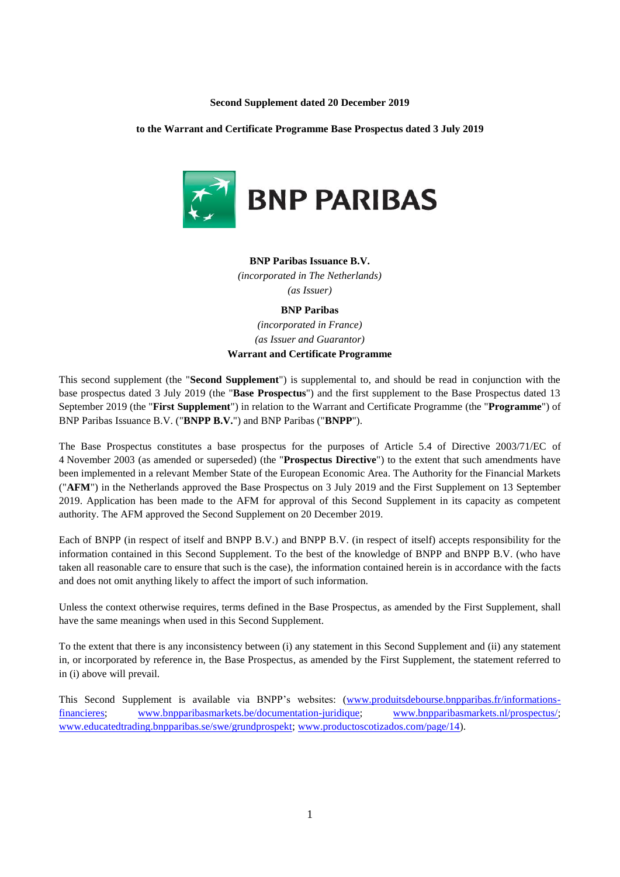#### **Second Supplement dated 20 December 2019**

#### **to the Warrant and Certificate Programme Base Prospectus dated 3 July 2019**



### **BNP Paribas Issuance B.V.**

*(incorporated in The Netherlands) (as Issuer)*

# **BNP Paribas**

*(incorporated in France) (as Issuer and Guarantor)* **Warrant and Certificate Programme**

This second supplement (the "**Second Supplement**") is supplemental to, and should be read in conjunction with the base prospectus dated 3 July 2019 (the "**Base Prospectus**") and the first supplement to the Base Prospectus dated 13 September 2019 (the "**First Supplement**") in relation to the Warrant and Certificate Programme (the "**Programme**") of BNP Paribas Issuance B.V. ("**BNPP B.V.**") and BNP Paribas ("**BNPP**").

The Base Prospectus constitutes a base prospectus for the purposes of Article 5.4 of Directive 2003/71/EC of 4 November 2003 (as amended or superseded) (the "**Prospectus Directive**") to the extent that such amendments have been implemented in a relevant Member State of the European Economic Area. The Authority for the Financial Markets ("**AFM**") in the Netherlands approved the Base Prospectus on 3 July 2019 and the First Supplement on 13 September 2019. Application has been made to the AFM for approval of this Second Supplement in its capacity as competent authority. The AFM approved the Second Supplement on 20 December 2019.

Each of BNPP (in respect of itself and BNPP B.V.) and BNPP B.V. (in respect of itself) accepts responsibility for the information contained in this Second Supplement. To the best of the knowledge of BNPP and BNPP B.V. (who have taken all reasonable care to ensure that such is the case), the information contained herein is in accordance with the facts and does not omit anything likely to affect the import of such information.

Unless the context otherwise requires, terms defined in the Base Prospectus, as amended by the First Supplement, shall have the same meanings when used in this Second Supplement.

To the extent that there is any inconsistency between (i) any statement in this Second Supplement and (ii) any statement in, or incorporated by reference in, the Base Prospectus, as amended by the First Supplement, the statement referred to in (i) above will prevail.

This Second Supplement is available via BNPP's websites: [\(www.produitsdebourse.bnpparibas.fr/informations](http://www.produitsdebourse.bnpparibas.fr/informations-financieres)[financieres;](http://www.produitsdebourse.bnpparibas.fr/informations-financieres) [www.bnpparibasmarkets.be/documentation-juridique;](http://www.bnpparibasmarkets.be/documentation-juridique) [www.bnpparibasmarkets.nl/prospectus/;](http://www.bnpparibasmarkets.nl/prospectus/) [www.educatedtrading.bnpparibas.se/swe/grundprospekt;](http://www.educatedtrading.bnpparibas.se/swe/grundprospekt) [www.productoscotizados.com/page/14\)](http://www.productoscotizados.com/page/14).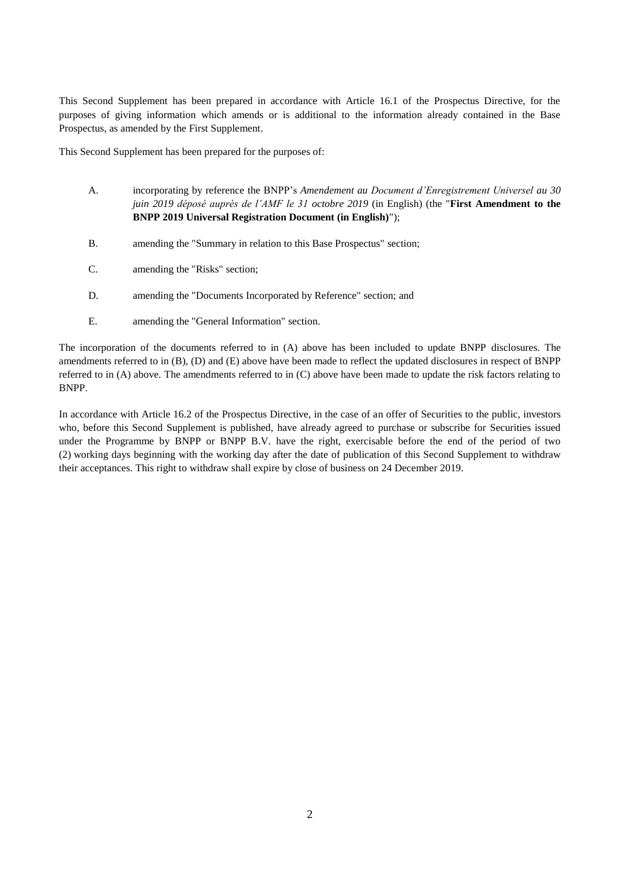This Second Supplement has been prepared in accordance with Article 16.1 of the Prospectus Directive, for the purposes of giving information which amends or is additional to the information already contained in the Base Prospectus, as amended by the First Supplement.

This Second Supplement has been prepared for the purposes of:

- A. incorporating by reference the BNPP's *Amendement au Document d'Enregistrement Universel au 30 juin 2019 déposé auprès de l'AMF le 31 octobre 2019* (in English) (the "**First Amendment to the BNPP 2019 Universal Registration Document (in English)**");
- B. amending the "Summary in relation to this Base Prospectus" section;
- C. amending the "Risks" section;
- D. amending the "Documents Incorporated by Reference" section; and
- E. amending the "General Information" section.

The incorporation of the documents referred to in (A) above has been included to update BNPP disclosures. The amendments referred to in (B), (D) and (E) above have been made to reflect the updated disclosures in respect of BNPP referred to in (A) above. The amendments referred to in (C) above have been made to update the risk factors relating to BNPP.

In accordance with Article 16.2 of the Prospectus Directive, in the case of an offer of Securities to the public, investors who, before this Second Supplement is published, have already agreed to purchase or subscribe for Securities issued under the Programme by BNPP or BNPP B.V. have the right, exercisable before the end of the period of two (2) working days beginning with the working day after the date of publication of this Second Supplement to withdraw their acceptances. This right to withdraw shall expire by close of business on 24 December 2019.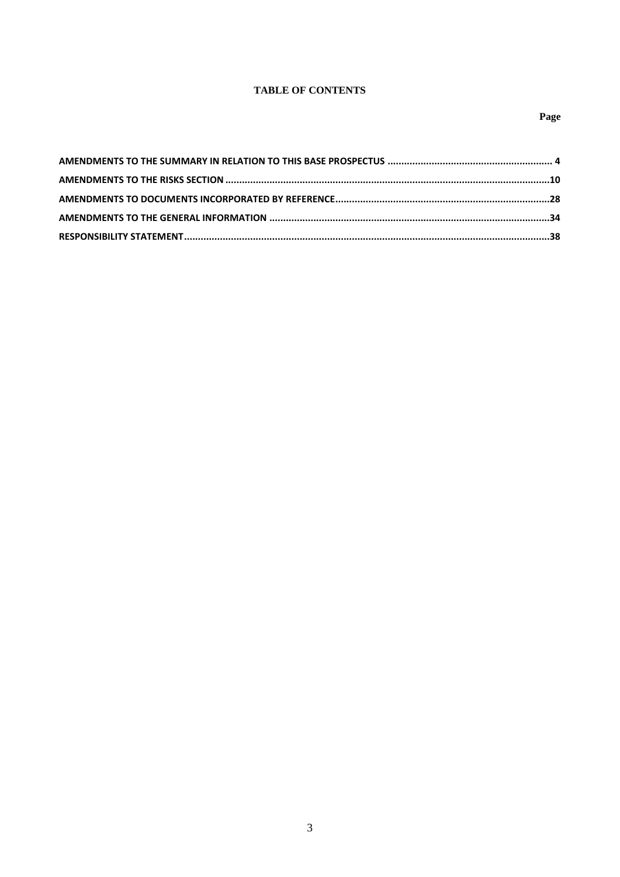# **TABLE OF CONTENTS**

# Page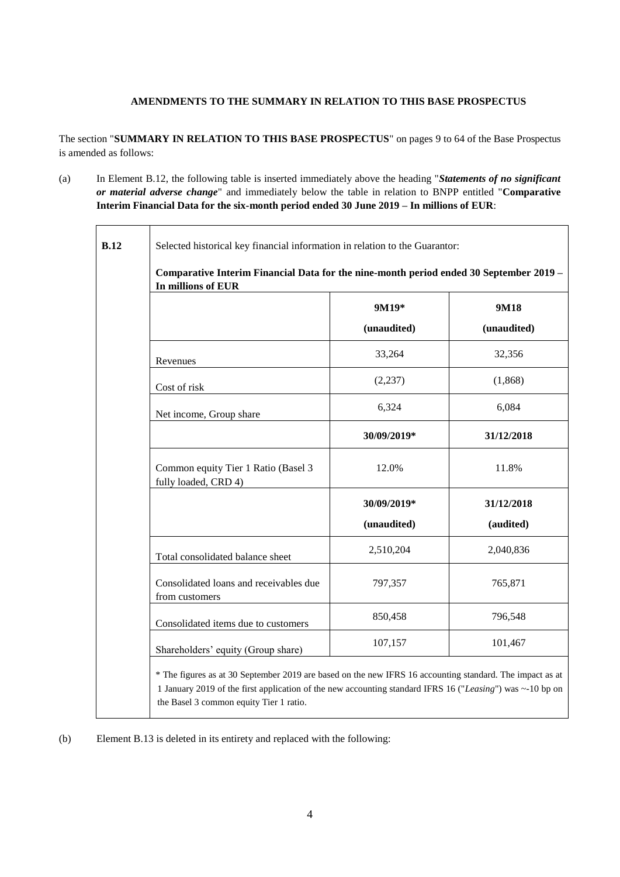# **AMENDMENTS TO THE SUMMARY IN RELATION TO THIS BASE PROSPECTUS**

The section "**SUMMARY IN RELATION TO THIS BASE PROSPECTUS**" on pages 9 to 64 of the Base Prospectus is amended as follows:

(a) In Element B.12, the following table is inserted immediately above the heading "*Statements of no significant or material adverse change*" and immediately below the table in relation to BNPP entitled "**Comparative Interim Financial Data for the six-month period ended 30 June 2019 – In millions of EUR**:

| In millions of EUR                                          |             |             |
|-------------------------------------------------------------|-------------|-------------|
|                                                             | 9M19*       | 9M18        |
|                                                             | (unaudited) | (unaudited) |
| Revenues                                                    | 33,264      | 32,356      |
| Cost of risk                                                | (2, 237)    | (1, 868)    |
| Net income, Group share                                     | 6,324       | 6,084       |
|                                                             | 30/09/2019* | 31/12/2018  |
| Common equity Tier 1 Ratio (Basel 3<br>fully loaded, CRD 4) | 12.0%       | 11.8%       |
|                                                             | 30/09/2019* | 31/12/2018  |
|                                                             | (unaudited) | (audited)   |
| Total consolidated balance sheet                            | 2,510,204   | 2,040,836   |
| Consolidated loans and receivables due<br>from customers    | 797,357     | 765,871     |
| Consolidated items due to customers                         | 850,458     | 796,548     |
| Shareholders' equity (Group share)                          | 107,157     | 101,467     |

(b) Element B.13 is deleted in its entirety and replaced with the following: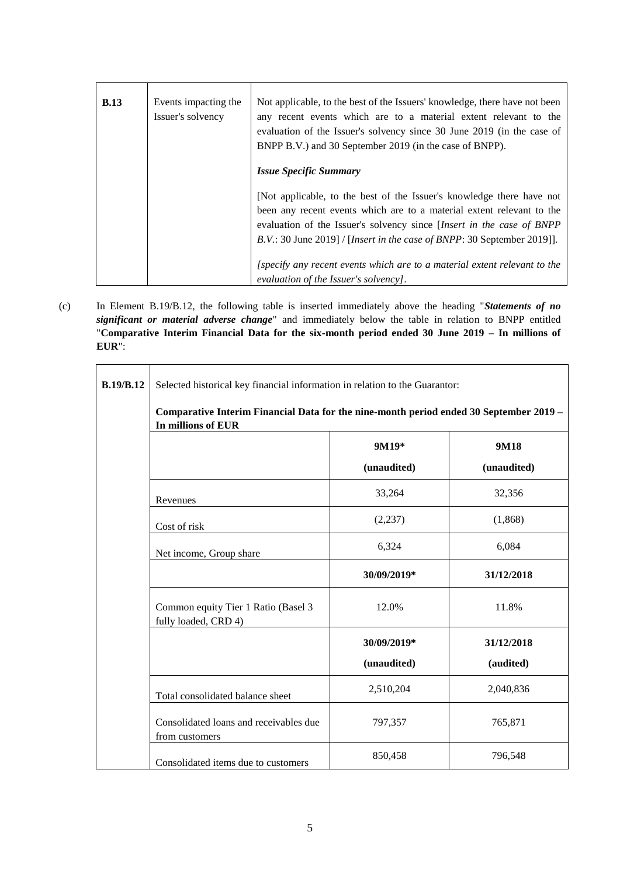| <b>B.13</b> | Events impacting the<br>Issuer's solvency | Not applicable, to the best of the Issuers' knowledge, there have not been<br>any recent events which are to a material extent relevant to the<br>evaluation of the Issuer's solvency since 30 June 2019 (in the case of<br>BNPP B.V.) and 30 September 2019 (in the case of BNPP).                       |
|-------------|-------------------------------------------|-----------------------------------------------------------------------------------------------------------------------------------------------------------------------------------------------------------------------------------------------------------------------------------------------------------|
|             |                                           | <i><b>Issue Specific Summary</b></i>                                                                                                                                                                                                                                                                      |
|             |                                           | [Not applicable, to the best of the Issuer's knowledge there have not<br>been any recent events which are to a material extent relevant to the<br>evaluation of the Issuer's solvency since <i>[Insert in the case of BNPP</i><br>B.V.: 30 June 2019] / [Insert in the case of BNPP: 30 September 2019]]. |
|             |                                           | [specify any recent events which are to a material extent relevant to the<br>evaluation of the Issuer's solvency].                                                                                                                                                                                        |

(c) In Element B.19/B.12, the following table is inserted immediately above the heading "*Statements of no significant or material adverse change*" and immediately below the table in relation to BNPP entitled "**Comparative Interim Financial Data for the six-month period ended 30 June 2019 – In millions of EUR**":

| <b>B.19/B.12</b><br>In millions of EUR                      | Selected historical key financial information in relation to the Guarantor:<br>Comparative Interim Financial Data for the nine-month period ended 30 September 2019 - |                     |  |  |  |
|-------------------------------------------------------------|-----------------------------------------------------------------------------------------------------------------------------------------------------------------------|---------------------|--|--|--|
|                                                             | 9M19*<br>(unaudited)                                                                                                                                                  | 9M18<br>(unaudited) |  |  |  |
| Revenues                                                    | 33,264                                                                                                                                                                | 32,356              |  |  |  |
| Cost of risk                                                | (2,237)                                                                                                                                                               | (1,868)             |  |  |  |
| Net income, Group share                                     | 6,324                                                                                                                                                                 | 6,084               |  |  |  |
|                                                             | 30/09/2019*                                                                                                                                                           | 31/12/2018          |  |  |  |
| Common equity Tier 1 Ratio (Basel 3<br>fully loaded, CRD 4) | 12.0%                                                                                                                                                                 | 11.8%               |  |  |  |
|                                                             | 30/09/2019*                                                                                                                                                           | 31/12/2018          |  |  |  |
|                                                             | (unaudited)                                                                                                                                                           | (audited)           |  |  |  |
| Total consolidated balance sheet                            | 2,510,204                                                                                                                                                             | 2,040,836           |  |  |  |
| Consolidated loans and receivables due<br>from customers    | 797,357                                                                                                                                                               | 765,871             |  |  |  |
| Consolidated items due to customers                         | 850,458                                                                                                                                                               | 796,548             |  |  |  |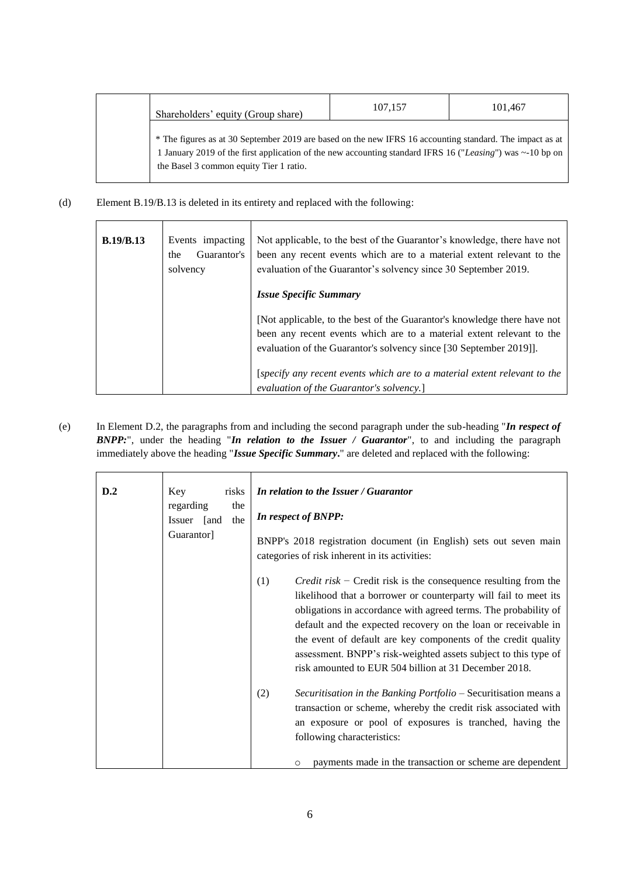| Shareholders' equity (Group share)                                                                                                                                                                                                                                    | 107,157 | 101.467 |
|-----------------------------------------------------------------------------------------------------------------------------------------------------------------------------------------------------------------------------------------------------------------------|---------|---------|
| * The figures as at 30 September 2019 are based on the new IFRS 16 accounting standard. The impact as at<br>1 January 2019 of the first application of the new accounting standard IFRS 16 ("Leasing") was $\sim$ 10 bp on<br>the Basel 3 common equity Tier 1 ratio. |         |         |

# (d) Element B.19/B.13 is deleted in its entirety and replaced with the following:

| <b>B.19/B.13</b> | Events impacting<br>Guarantor's<br>the<br>solvency | Not applicable, to the best of the Guarantor's knowledge, there have not<br>been any recent events which are to a material extent relevant to the<br>evaluation of the Guarantor's solvency since 30 September 2019.                                            |
|------------------|----------------------------------------------------|-----------------------------------------------------------------------------------------------------------------------------------------------------------------------------------------------------------------------------------------------------------------|
|                  |                                                    | <i><b>Issue Specific Summary</b></i><br>[Not applicable, to the best of the Guarantor's knowledge there have not<br>been any recent events which are to a material extent relevant to the<br>evaluation of the Guarantor's solvency since [30 September 2019]]. |
|                  |                                                    | [specify any recent events which are to a material extent relevant to the<br>evaluation of the Guarantor's solvency.]                                                                                                                                           |

(e) In Element D.2, the paragraphs from and including the second paragraph under the sub-heading "*In respect of BNPP:*", under the heading "*In relation to the Issuer / Guarantor*", to and including the paragraph immediately above the heading "*Issue Specific Summary***.**" are deleted and replaced with the following:

| D.2 | Key<br>risks<br>regarding<br>the<br>the<br>Issuer<br>[and<br>Guarantor] | In relation to the Issuer / Guarantor<br>In respect of BNPP:<br>BNPP's 2018 registration document (in English) sets out seven main<br>categories of risk inherent in its activities:                                                                                                                                                                                                                                                                                                |
|-----|-------------------------------------------------------------------------|-------------------------------------------------------------------------------------------------------------------------------------------------------------------------------------------------------------------------------------------------------------------------------------------------------------------------------------------------------------------------------------------------------------------------------------------------------------------------------------|
|     |                                                                         | (1)<br><i>Credit risk</i> – Credit risk is the consequence resulting from the<br>likelihood that a borrower or counterparty will fail to meet its<br>obligations in accordance with agreed terms. The probability of<br>default and the expected recovery on the loan or receivable in<br>the event of default are key components of the credit quality<br>assessment. BNPP's risk-weighted assets subject to this type of<br>risk amounted to EUR 504 billion at 31 December 2018. |
|     |                                                                         | (2)<br>Securitisation in the Banking Portfolio - Securitisation means a<br>transaction or scheme, whereby the credit risk associated with<br>an exposure or pool of exposures is tranched, having the<br>following characteristics:<br>payments made in the transaction or scheme are dependent<br>O                                                                                                                                                                                |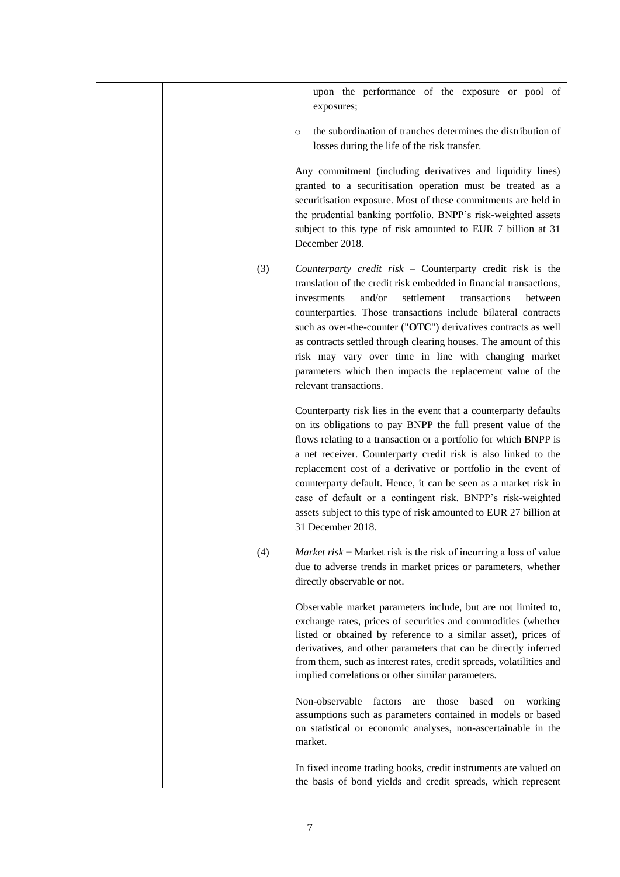|     | upon the performance of the exposure or pool of<br>exposures;                                                                                                                                                                                                                                                                                                                                                                                                                                                                                                      |
|-----|--------------------------------------------------------------------------------------------------------------------------------------------------------------------------------------------------------------------------------------------------------------------------------------------------------------------------------------------------------------------------------------------------------------------------------------------------------------------------------------------------------------------------------------------------------------------|
|     | the subordination of tranches determines the distribution of<br>$\circ$<br>losses during the life of the risk transfer.                                                                                                                                                                                                                                                                                                                                                                                                                                            |
|     | Any commitment (including derivatives and liquidity lines)<br>granted to a securitisation operation must be treated as a<br>securitisation exposure. Most of these commitments are held in<br>the prudential banking portfolio. BNPP's risk-weighted assets<br>subject to this type of risk amounted to EUR 7 billion at 31<br>December 2018.                                                                                                                                                                                                                      |
| (3) | Counterparty credit risk - Counterparty credit risk is the<br>translation of the credit risk embedded in financial transactions,<br>and/or<br>settlement<br>investments<br>transactions<br>between<br>counterparties. Those transactions include bilateral contracts<br>such as over-the-counter ("OTC") derivatives contracts as well<br>as contracts settled through clearing houses. The amount of this<br>risk may vary over time in line with changing market<br>parameters which then impacts the replacement value of the<br>relevant transactions.         |
|     | Counterparty risk lies in the event that a counterparty defaults<br>on its obligations to pay BNPP the full present value of the<br>flows relating to a transaction or a portfolio for which BNPP is<br>a net receiver. Counterparty credit risk is also linked to the<br>replacement cost of a derivative or portfolio in the event of<br>counterparty default. Hence, it can be seen as a market risk in<br>case of default or a contingent risk. BNPP's risk-weighted<br>assets subject to this type of risk amounted to EUR 27 billion at<br>31 December 2018. |
| (4) | <i>Market risk</i> – Market risk is the risk of incurring a loss of value<br>due to adverse trends in market prices or parameters, whether<br>directly observable or not.                                                                                                                                                                                                                                                                                                                                                                                          |
|     | Observable market parameters include, but are not limited to,<br>exchange rates, prices of securities and commodities (whether<br>listed or obtained by reference to a similar asset), prices of<br>derivatives, and other parameters that can be directly inferred<br>from them, such as interest rates, credit spreads, volatilities and<br>implied correlations or other similar parameters.                                                                                                                                                                    |
|     | Non-observable<br>factors<br>those<br>based<br>working<br>are<br>on<br>assumptions such as parameters contained in models or based<br>on statistical or economic analyses, non-ascertainable in the<br>market.                                                                                                                                                                                                                                                                                                                                                     |
|     | In fixed income trading books, credit instruments are valued on<br>the basis of bond yields and credit spreads, which represent                                                                                                                                                                                                                                                                                                                                                                                                                                    |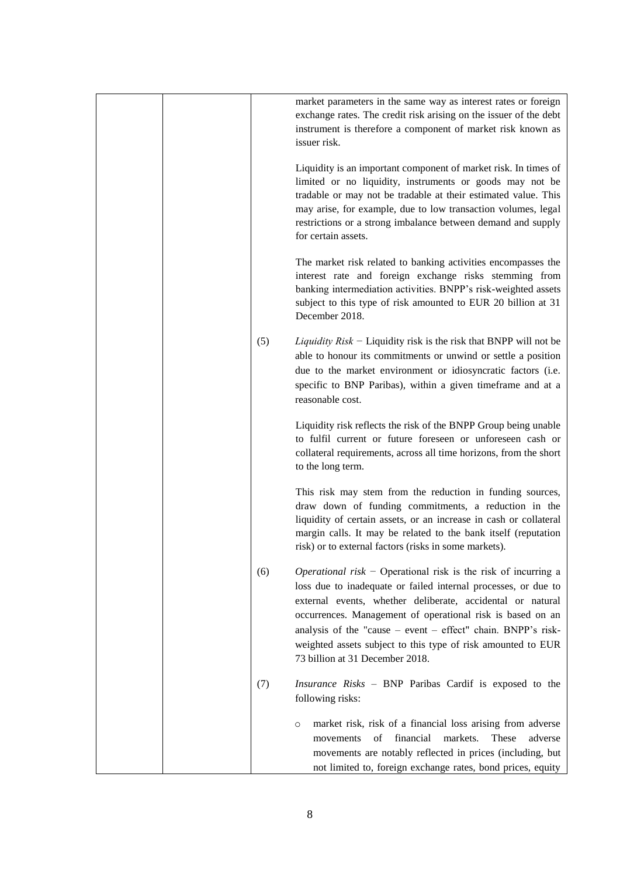|  |     | market parameters in the same way as interest rates or foreign<br>exchange rates. The credit risk arising on the issuer of the debt<br>instrument is therefore a component of market risk known as<br>issuer risk.                                                                                                                                                                                                                     |
|--|-----|----------------------------------------------------------------------------------------------------------------------------------------------------------------------------------------------------------------------------------------------------------------------------------------------------------------------------------------------------------------------------------------------------------------------------------------|
|  |     | Liquidity is an important component of market risk. In times of<br>limited or no liquidity, instruments or goods may not be<br>tradable or may not be tradable at their estimated value. This<br>may arise, for example, due to low transaction volumes, legal<br>restrictions or a strong imbalance between demand and supply<br>for certain assets.                                                                                  |
|  |     | The market risk related to banking activities encompasses the<br>interest rate and foreign exchange risks stemming from<br>banking intermediation activities. BNPP's risk-weighted assets<br>subject to this type of risk amounted to EUR 20 billion at 31<br>December 2018.                                                                                                                                                           |
|  | (5) | Liquidity $Risk$ – Liquidity risk is the risk that BNPP will not be<br>able to honour its commitments or unwind or settle a position<br>due to the market environment or idiosyncratic factors (i.e.<br>specific to BNP Paribas), within a given timeframe and at a<br>reasonable cost.                                                                                                                                                |
|  |     | Liquidity risk reflects the risk of the BNPP Group being unable<br>to fulfil current or future foreseen or unforeseen cash or<br>collateral requirements, across all time horizons, from the short<br>to the long term.                                                                                                                                                                                                                |
|  |     | This risk may stem from the reduction in funding sources,<br>draw down of funding commitments, a reduction in the<br>liquidity of certain assets, or an increase in cash or collateral<br>margin calls. It may be related to the bank itself (reputation<br>risk) or to external factors (risks in some markets).                                                                                                                      |
|  | (6) | <i>Operational risk</i> – Operational risk is the risk of incurring a<br>loss due to inadequate or failed internal processes, or due to<br>external events, whether deliberate, accidental or natural<br>occurrences. Management of operational risk is based on an<br>analysis of the "cause - event - effect" chain. BNPP's risk-<br>weighted assets subject to this type of risk amounted to EUR<br>73 billion at 31 December 2018. |
|  | (7) | Insurance Risks - BNP Paribas Cardif is exposed to the<br>following risks:                                                                                                                                                                                                                                                                                                                                                             |
|  |     | market risk, risk of a financial loss arising from adverse<br>$\circ$<br>of<br>financial<br>markets.<br>These<br>adverse<br>movements<br>movements are notably reflected in prices (including, but<br>not limited to, foreign exchange rates, bond prices, equity                                                                                                                                                                      |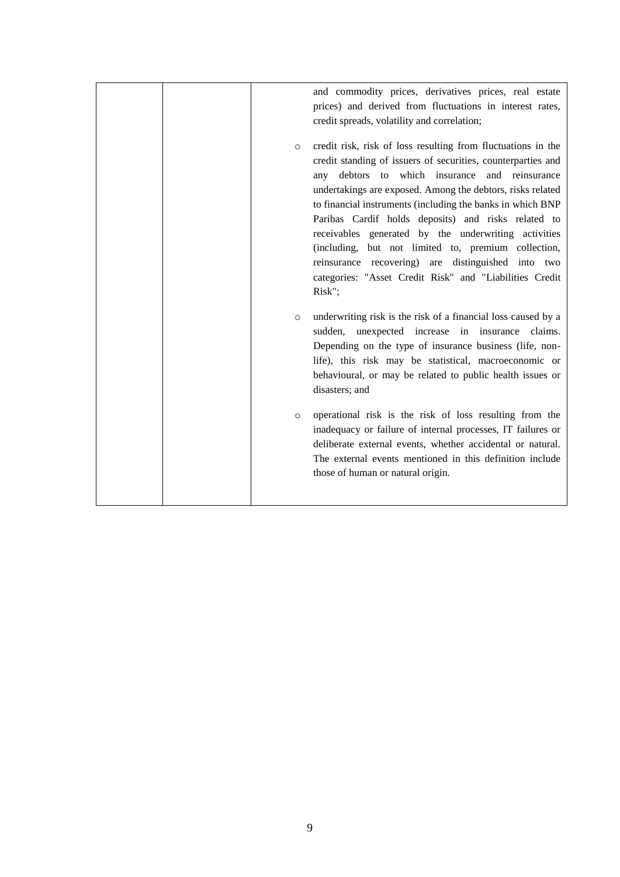| $\circ$ | and commodity prices, derivatives prices, real estate<br>prices) and derived from fluctuations in interest rates,<br>credit spreads, volatility and correlation;<br>credit risk, risk of loss resulting from fluctuations in the<br>credit standing of issuers of securities, counterparties and<br>any debtors to which insurance and reinsurance<br>undertakings are exposed. Among the debtors, risks related |
|---------|------------------------------------------------------------------------------------------------------------------------------------------------------------------------------------------------------------------------------------------------------------------------------------------------------------------------------------------------------------------------------------------------------------------|
|         | to financial instruments (including the banks in which BNP<br>Paribas Cardif holds deposits) and risks related to<br>receivables generated by the underwriting activities<br>(including, but not limited to, premium collection,<br>reinsurance recovering) are distinguished into two<br>categories: "Asset Credit Risk" and "Liabilities Credit<br>Risk";                                                      |
| $\circ$ | underwriting risk is the risk of a financial loss caused by a<br>unexpected increase in insurance claims.<br>sudden,<br>Depending on the type of insurance business (life, non-<br>life), this risk may be statistical, macroeconomic or<br>behavioural, or may be related to public health issues or<br>disasters; and                                                                                          |
| $\circ$ | operational risk is the risk of loss resulting from the<br>inadequacy or failure of internal processes, IT failures or<br>deliberate external events, whether accidental or natural.<br>The external events mentioned in this definition include<br>those of human or natural origin.                                                                                                                            |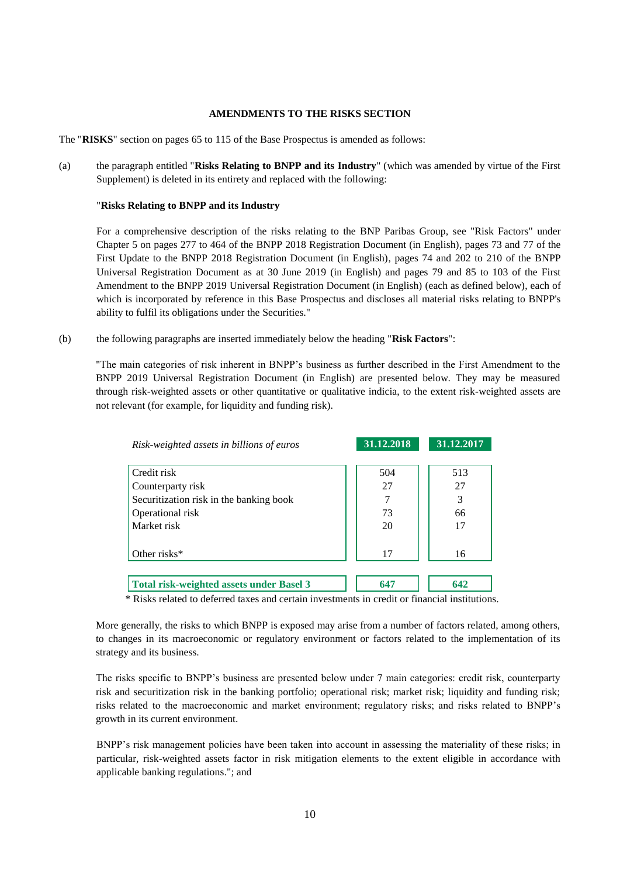#### **AMENDMENTS TO THE RISKS SECTION**

The "**RISKS**" section on pages 65 to 115 of the Base Prospectus is amended as follows:

(a) the paragraph entitled "**Risks Relating to BNPP and its Industry**" (which was amended by virtue of the First Supplement) is deleted in its entirety and replaced with the following:

## "**Risks Relating to BNPP and its Industry**

For a comprehensive description of the risks relating to the BNP Paribas Group, see "Risk Factors" under Chapter 5 on pages 277 to 464 of the BNPP 2018 Registration Document (in English), pages 73 and 77 of the First Update to the BNPP 2018 Registration Document (in English), pages 74 and 202 to 210 of the BNPP Universal Registration Document as at 30 June 2019 (in English) and pages 79 and 85 to 103 of the First Amendment to the BNPP 2019 Universal Registration Document (in English) (each as defined below), each of which is incorporated by reference in this Base Prospectus and discloses all material risks relating to BNPP's ability to fulfil its obligations under the Securities."

(b) the following paragraphs are inserted immediately below the heading "**Risk Factors**":

"The main categories of risk inherent in BNPP's business as further described in the First Amendment to the BNPP 2019 Universal Registration Document (in English) are presented below. They may be measured through risk-weighted assets or other quantitative or qualitative indicia, to the extent risk-weighted assets are not relevant (for example, for liquidity and funding risk).

| Risk-weighted assets in billions of euros       | 31.12.2018 | 31.12.2017 |
|-------------------------------------------------|------------|------------|
|                                                 |            |            |
| Credit risk                                     | 504        | 513        |
| Counterparty risk                               | 27         | 27         |
| Securitization risk in the banking book         |            | 3          |
| Operational risk                                | 73         | 66         |
| Market risk                                     | 20         | 17         |
|                                                 |            |            |
| Other risks $*$                                 | 17         | 16         |
|                                                 |            |            |
| <b>Total risk-weighted assets under Basel 3</b> | 647        | 642        |

\* Risks related to deferred taxes and certain investments in credit or financial institutions.

More generally, the risks to which BNPP is exposed may arise from a number of factors related, among others, to changes in its macroeconomic or regulatory environment or factors related to the implementation of its strategy and its business.

The risks specific to BNPP's business are presented below under 7 main categories: credit risk, counterparty risk and securitization risk in the banking portfolio; operational risk; market risk; liquidity and funding risk; risks related to the macroeconomic and market environment; regulatory risks; and risks related to BNPP's growth in its current environment.

BNPP's risk management policies have been taken into account in assessing the materiality of these risks; in particular, risk-weighted assets factor in risk mitigation elements to the extent eligible in accordance with applicable banking regulations."; and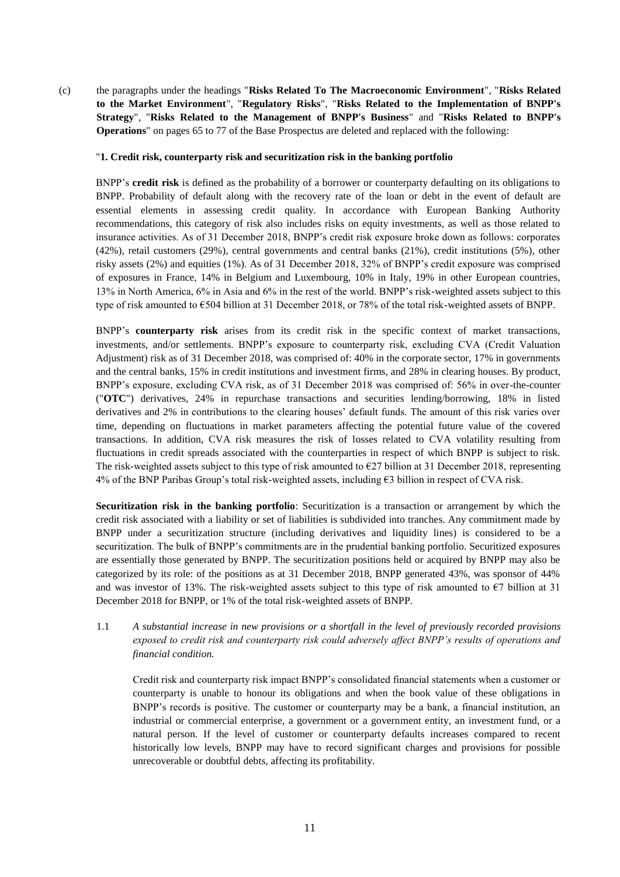(c) the paragraphs under the headings "**Risks Related To The Macroeconomic Environment**", "**Risks Related to the Market Environment**", "**Regulatory Risks**", "**Risks Related to the Implementation of BNPP's Strategy**", "**Risks Related to the Management of BNPP's Business**" and "**Risks Related to BNPP's Operations**" on pages 65 to 77 of the Base Prospectus are deleted and replaced with the following:

#### "**1. Credit risk, counterparty risk and securitization risk in the banking portfolio**

BNPP's **credit risk** is defined as the probability of a borrower or counterparty defaulting on its obligations to BNPP. Probability of default along with the recovery rate of the loan or debt in the event of default are essential elements in assessing credit quality. In accordance with European Banking Authority recommendations, this category of risk also includes risks on equity investments, as well as those related to insurance activities. As of 31 December 2018, BNPP's credit risk exposure broke down as follows: corporates (42%), retail customers (29%), central governments and central banks (21%), credit institutions (5%), other risky assets (2%) and equities (1%). As of 31 December 2018, 32% of BNPP's credit exposure was comprised of exposures in France, 14% in Belgium and Luxembourg, 10% in Italy, 19% in other European countries, 13% in North America, 6% in Asia and 6% in the rest of the world. BNPP's risk-weighted assets subject to this type of risk amounted to €504 billion at 31 December 2018, or 78% of the total risk-weighted assets of BNPP.

BNPP's **counterparty risk** arises from its credit risk in the specific context of market transactions, investments, and/or settlements. BNPP's exposure to counterparty risk, excluding CVA (Credit Valuation Adjustment) risk as of 31 December 2018, was comprised of: 40% in the corporate sector, 17% in governments and the central banks, 15% in credit institutions and investment firms, and 28% in clearing houses. By product, BNPP's exposure, excluding CVA risk, as of 31 December 2018 was comprised of: 56% in over-the-counter ("**OTC**") derivatives, 24% in repurchase transactions and securities lending/borrowing, 18% in listed derivatives and 2% in contributions to the clearing houses' default funds. The amount of this risk varies over time, depending on fluctuations in market parameters affecting the potential future value of the covered transactions. In addition, CVA risk measures the risk of losses related to CVA volatility resulting from fluctuations in credit spreads associated with the counterparties in respect of which BNPP is subject to risk. The risk-weighted assets subject to this type of risk amounted to  $\epsilon$ 27 billion at 31 December 2018, representing 4% of the BNP Paribas Group's total risk-weighted assets, including €3 billion in respect of CVA risk.

**Securitization risk in the banking portfolio**: Securitization is a transaction or arrangement by which the credit risk associated with a liability or set of liabilities is subdivided into tranches. Any commitment made by BNPP under a securitization structure (including derivatives and liquidity lines) is considered to be a securitization. The bulk of BNPP's commitments are in the prudential banking portfolio. Securitized exposures are essentially those generated by BNPP. The securitization positions held or acquired by BNPP may also be categorized by its role: of the positions as at 31 December 2018, BNPP generated 43%, was sponsor of 44% and was investor of 13%. The risk-weighted assets subject to this type of risk amounted to  $\epsilon$ 7 billion at 31 December 2018 for BNPP, or 1% of the total risk-weighted assets of BNPP.

# 1.1 *A substantial increase in new provisions or a shortfall in the level of previously recorded provisions exposed to credit risk and counterparty risk could adversely affect BNPP's results of operations and financial condition.*

Credit risk and counterparty risk impact BNPP's consolidated financial statements when a customer or counterparty is unable to honour its obligations and when the book value of these obligations in BNPP's records is positive. The customer or counterparty may be a bank, a financial institution, an industrial or commercial enterprise, a government or a government entity, an investment fund, or a natural person. If the level of customer or counterparty defaults increases compared to recent historically low levels, BNPP may have to record significant charges and provisions for possible unrecoverable or doubtful debts, affecting its profitability.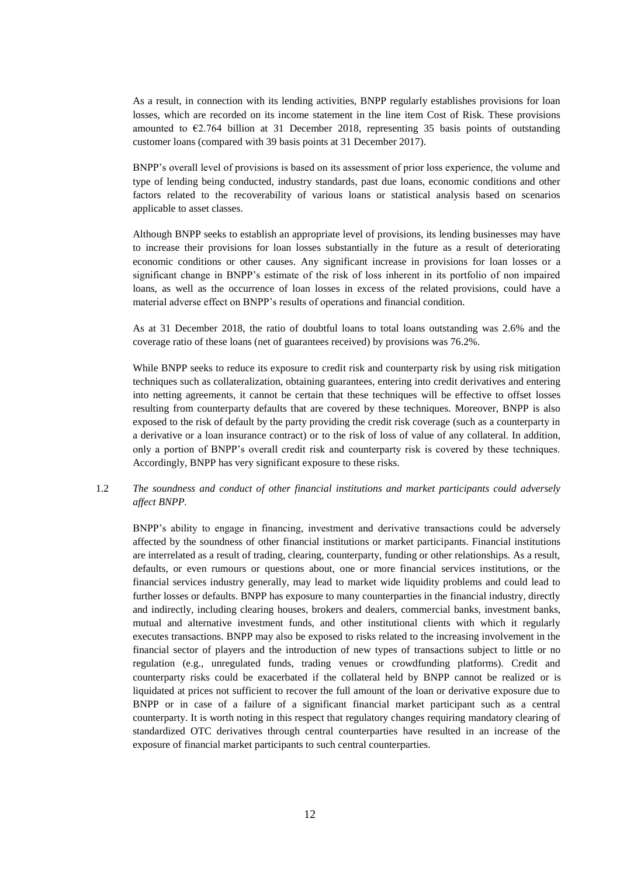As a result, in connection with its lending activities, BNPP regularly establishes provisions for loan losses, which are recorded on its income statement in the line item Cost of Risk. These provisions amounted to €2.764 billion at 31 December 2018, representing 35 basis points of outstanding customer loans (compared with 39 basis points at 31 December 2017).

BNPP's overall level of provisions is based on its assessment of prior loss experience, the volume and type of lending being conducted, industry standards, past due loans, economic conditions and other factors related to the recoverability of various loans or statistical analysis based on scenarios applicable to asset classes.

Although BNPP seeks to establish an appropriate level of provisions, its lending businesses may have to increase their provisions for loan losses substantially in the future as a result of deteriorating economic conditions or other causes. Any significant increase in provisions for loan losses or a significant change in BNPP's estimate of the risk of loss inherent in its portfolio of non impaired loans, as well as the occurrence of loan losses in excess of the related provisions, could have a material adverse effect on BNPP's results of operations and financial condition.

As at 31 December 2018, the ratio of doubtful loans to total loans outstanding was 2.6% and the coverage ratio of these loans (net of guarantees received) by provisions was 76.2%.

While BNPP seeks to reduce its exposure to credit risk and counterparty risk by using risk mitigation techniques such as collateralization, obtaining guarantees, entering into credit derivatives and entering into netting agreements, it cannot be certain that these techniques will be effective to offset losses resulting from counterparty defaults that are covered by these techniques. Moreover, BNPP is also exposed to the risk of default by the party providing the credit risk coverage (such as a counterparty in a derivative or a loan insurance contract) or to the risk of loss of value of any collateral. In addition, only a portion of BNPP's overall credit risk and counterparty risk is covered by these techniques. Accordingly, BNPP has very significant exposure to these risks.

## 1.2 *The soundness and conduct of other financial institutions and market participants could adversely affect BNPP.*

BNPP's ability to engage in financing, investment and derivative transactions could be adversely affected by the soundness of other financial institutions or market participants. Financial institutions are interrelated as a result of trading, clearing, counterparty, funding or other relationships. As a result, defaults, or even rumours or questions about, one or more financial services institutions, or the financial services industry generally, may lead to market wide liquidity problems and could lead to further losses or defaults. BNPP has exposure to many counterparties in the financial industry, directly and indirectly, including clearing houses, brokers and dealers, commercial banks, investment banks, mutual and alternative investment funds, and other institutional clients with which it regularly executes transactions. BNPP may also be exposed to risks related to the increasing involvement in the financial sector of players and the introduction of new types of transactions subject to little or no regulation (e.g., unregulated funds, trading venues or crowdfunding platforms). Credit and counterparty risks could be exacerbated if the collateral held by BNPP cannot be realized or is liquidated at prices not sufficient to recover the full amount of the loan or derivative exposure due to BNPP or in case of a failure of a significant financial market participant such as a central counterparty. It is worth noting in this respect that regulatory changes requiring mandatory clearing of standardized OTC derivatives through central counterparties have resulted in an increase of the exposure of financial market participants to such central counterparties.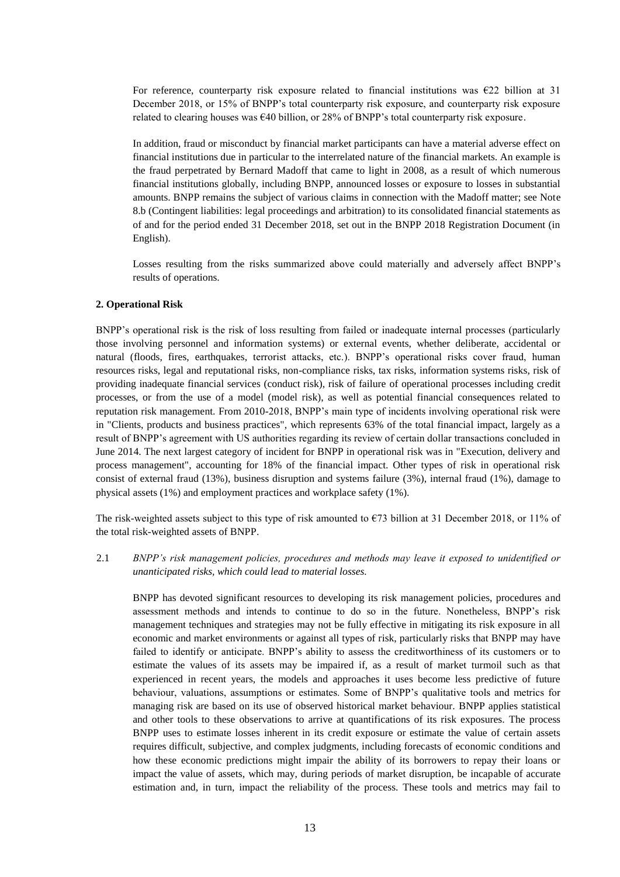For reference, counterparty risk exposure related to financial institutions was  $E22$  billion at 31 December 2018, or 15% of BNPP's total counterparty risk exposure, and counterparty risk exposure related to clearing houses was  $\epsilon$ 40 billion, or 28% of BNPP's total counterparty risk exposure.

In addition, fraud or misconduct by financial market participants can have a material adverse effect on financial institutions due in particular to the interrelated nature of the financial markets. An example is the fraud perpetrated by Bernard Madoff that came to light in 2008, as a result of which numerous financial institutions globally, including BNPP, announced losses or exposure to losses in substantial amounts. BNPP remains the subject of various claims in connection with the Madoff matter; see Note 8.b (Contingent liabilities: legal proceedings and arbitration) to its consolidated financial statements as of and for the period ended 31 December 2018, set out in the BNPP 2018 Registration Document (in English).

Losses resulting from the risks summarized above could materially and adversely affect BNPP's results of operations.

#### **2. Operational Risk**

BNPP's operational risk is the risk of loss resulting from failed or inadequate internal processes (particularly those involving personnel and information systems) or external events, whether deliberate, accidental or natural (floods, fires, earthquakes, terrorist attacks, etc.). BNPP's operational risks cover fraud, human resources risks, legal and reputational risks, non-compliance risks, tax risks, information systems risks, risk of providing inadequate financial services (conduct risk), risk of failure of operational processes including credit processes, or from the use of a model (model risk), as well as potential financial consequences related to reputation risk management. From 2010-2018, BNPP's main type of incidents involving operational risk were in "Clients, products and business practices", which represents 63% of the total financial impact, largely as a result of BNPP's agreement with US authorities regarding its review of certain dollar transactions concluded in June 2014. The next largest category of incident for BNPP in operational risk was in "Execution, delivery and process management", accounting for 18% of the financial impact. Other types of risk in operational risk consist of external fraud (13%), business disruption and systems failure (3%), internal fraud (1%), damage to physical assets (1%) and employment practices and workplace safety (1%).

The risk-weighted assets subject to this type of risk amounted to  $\epsilon$ 73 billion at 31 December 2018, or 11% of the total risk-weighted assets of BNPP.

2.1 *BNPP's risk management policies, procedures and methods may leave it exposed to unidentified or unanticipated risks, which could lead to material losses.*

BNPP has devoted significant resources to developing its risk management policies, procedures and assessment methods and intends to continue to do so in the future. Nonetheless, BNPP's risk management techniques and strategies may not be fully effective in mitigating its risk exposure in all economic and market environments or against all types of risk, particularly risks that BNPP may have failed to identify or anticipate. BNPP's ability to assess the creditworthiness of its customers or to estimate the values of its assets may be impaired if, as a result of market turmoil such as that experienced in recent years, the models and approaches it uses become less predictive of future behaviour, valuations, assumptions or estimates. Some of BNPP's qualitative tools and metrics for managing risk are based on its use of observed historical market behaviour. BNPP applies statistical and other tools to these observations to arrive at quantifications of its risk exposures. The process BNPP uses to estimate losses inherent in its credit exposure or estimate the value of certain assets requires difficult, subjective, and complex judgments, including forecasts of economic conditions and how these economic predictions might impair the ability of its borrowers to repay their loans or impact the value of assets, which may, during periods of market disruption, be incapable of accurate estimation and, in turn, impact the reliability of the process. These tools and metrics may fail to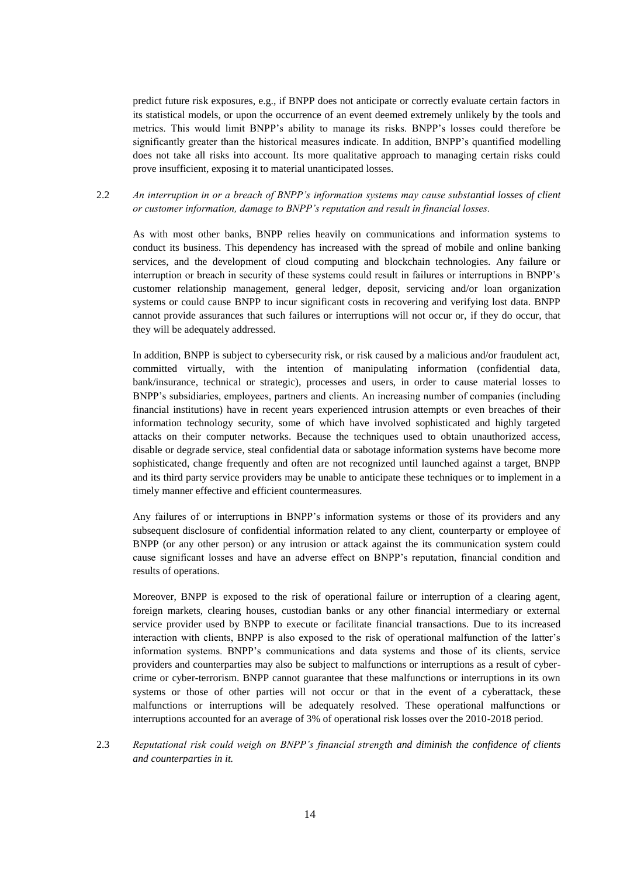predict future risk exposures, e.g., if BNPP does not anticipate or correctly evaluate certain factors in its statistical models, or upon the occurrence of an event deemed extremely unlikely by the tools and metrics. This would limit BNPP's ability to manage its risks. BNPP's losses could therefore be significantly greater than the historical measures indicate. In addition, BNPP's quantified modelling does not take all risks into account. Its more qualitative approach to managing certain risks could prove insufficient, exposing it to material unanticipated losses.

## 2.2 *An interruption in or a breach of BNPP's information systems may cause substantial losses of client or customer information, damage to BNPP's reputation and result in financial losses.*

As with most other banks, BNPP relies heavily on communications and information systems to conduct its business. This dependency has increased with the spread of mobile and online banking services, and the development of cloud computing and blockchain technologies. Any failure or interruption or breach in security of these systems could result in failures or interruptions in BNPP's customer relationship management, general ledger, deposit, servicing and/or loan organization systems or could cause BNPP to incur significant costs in recovering and verifying lost data. BNPP cannot provide assurances that such failures or interruptions will not occur or, if they do occur, that they will be adequately addressed.

In addition, BNPP is subject to cybersecurity risk, or risk caused by a malicious and/or fraudulent act, committed virtually, with the intention of manipulating information (confidential data, bank/insurance, technical or strategic), processes and users, in order to cause material losses to BNPP's subsidiaries, employees, partners and clients. An increasing number of companies (including financial institutions) have in recent years experienced intrusion attempts or even breaches of their information technology security, some of which have involved sophisticated and highly targeted attacks on their computer networks. Because the techniques used to obtain unauthorized access, disable or degrade service, steal confidential data or sabotage information systems have become more sophisticated, change frequently and often are not recognized until launched against a target, BNPP and its third party service providers may be unable to anticipate these techniques or to implement in a timely manner effective and efficient countermeasures.

Any failures of or interruptions in BNPP's information systems or those of its providers and any subsequent disclosure of confidential information related to any client, counterparty or employee of BNPP (or any other person) or any intrusion or attack against the its communication system could cause significant losses and have an adverse effect on BNPP's reputation, financial condition and results of operations.

Moreover, BNPP is exposed to the risk of operational failure or interruption of a clearing agent, foreign markets, clearing houses, custodian banks or any other financial intermediary or external service provider used by BNPP to execute or facilitate financial transactions. Due to its increased interaction with clients, BNPP is also exposed to the risk of operational malfunction of the latter's information systems. BNPP's communications and data systems and those of its clients, service providers and counterparties may also be subject to malfunctions or interruptions as a result of cybercrime or cyber-terrorism. BNPP cannot guarantee that these malfunctions or interruptions in its own systems or those of other parties will not occur or that in the event of a cyberattack, these malfunctions or interruptions will be adequately resolved. These operational malfunctions or interruptions accounted for an average of 3% of operational risk losses over the 2010-2018 period.

2.3 *Reputational risk could weigh on BNPP's financial strength and diminish the confidence of clients and counterparties in it.*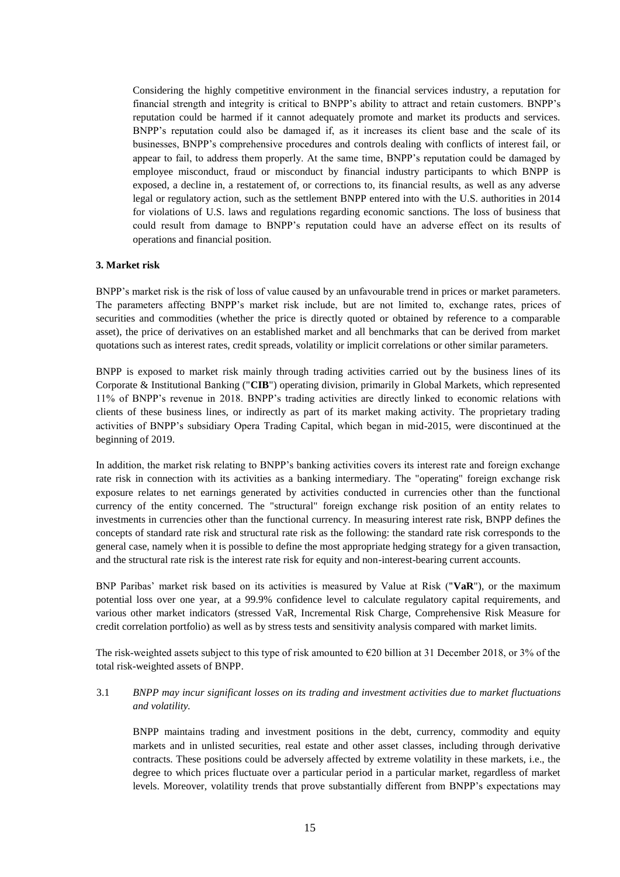Considering the highly competitive environment in the financial services industry, a reputation for financial strength and integrity is critical to BNPP's ability to attract and retain customers. BNPP's reputation could be harmed if it cannot adequately promote and market its products and services. BNPP's reputation could also be damaged if, as it increases its client base and the scale of its businesses, BNPP's comprehensive procedures and controls dealing with conflicts of interest fail, or appear to fail, to address them properly. At the same time, BNPP's reputation could be damaged by employee misconduct, fraud or misconduct by financial industry participants to which BNPP is exposed, a decline in, a restatement of, or corrections to, its financial results, as well as any adverse legal or regulatory action, such as the settlement BNPP entered into with the U.S. authorities in 2014 for violations of U.S. laws and regulations regarding economic sanctions. The loss of business that could result from damage to BNPP's reputation could have an adverse effect on its results of operations and financial position.

#### **3. Market risk**

BNPP's market risk is the risk of loss of value caused by an unfavourable trend in prices or market parameters. The parameters affecting BNPP's market risk include, but are not limited to, exchange rates, prices of securities and commodities (whether the price is directly quoted or obtained by reference to a comparable asset), the price of derivatives on an established market and all benchmarks that can be derived from market quotations such as interest rates, credit spreads, volatility or implicit correlations or other similar parameters.

BNPP is exposed to market risk mainly through trading activities carried out by the business lines of its Corporate & Institutional Banking ("**CIB**") operating division, primarily in Global Markets, which represented 11% of BNPP's revenue in 2018. BNPP's trading activities are directly linked to economic relations with clients of these business lines, or indirectly as part of its market making activity. The proprietary trading activities of BNPP's subsidiary Opera Trading Capital, which began in mid-2015, were discontinued at the beginning of 2019.

In addition, the market risk relating to BNPP's banking activities covers its interest rate and foreign exchange rate risk in connection with its activities as a banking intermediary. The "operating" foreign exchange risk exposure relates to net earnings generated by activities conducted in currencies other than the functional currency of the entity concerned. The "structural" foreign exchange risk position of an entity relates to investments in currencies other than the functional currency. In measuring interest rate risk, BNPP defines the concepts of standard rate risk and structural rate risk as the following: the standard rate risk corresponds to the general case, namely when it is possible to define the most appropriate hedging strategy for a given transaction, and the structural rate risk is the interest rate risk for equity and non-interest-bearing current accounts.

BNP Paribas' market risk based on its activities is measured by Value at Risk ("**VaR**"), or the maximum potential loss over one year, at a 99.9% confidence level to calculate regulatory capital requirements, and various other market indicators (stressed VaR, Incremental Risk Charge, Comprehensive Risk Measure for credit correlation portfolio) as well as by stress tests and sensitivity analysis compared with market limits.

The risk-weighted assets subject to this type of risk amounted to  $\epsilon$ 20 billion at 31 December 2018, or 3% of the total risk-weighted assets of BNPP.

### 3.1 *BNPP may incur significant losses on its trading and investment activities due to market fluctuations and volatility.*

BNPP maintains trading and investment positions in the debt, currency, commodity and equity markets and in unlisted securities, real estate and other asset classes, including through derivative contracts. These positions could be adversely affected by extreme volatility in these markets, i.e., the degree to which prices fluctuate over a particular period in a particular market, regardless of market levels. Moreover, volatility trends that prove substantially different from BNPP's expectations may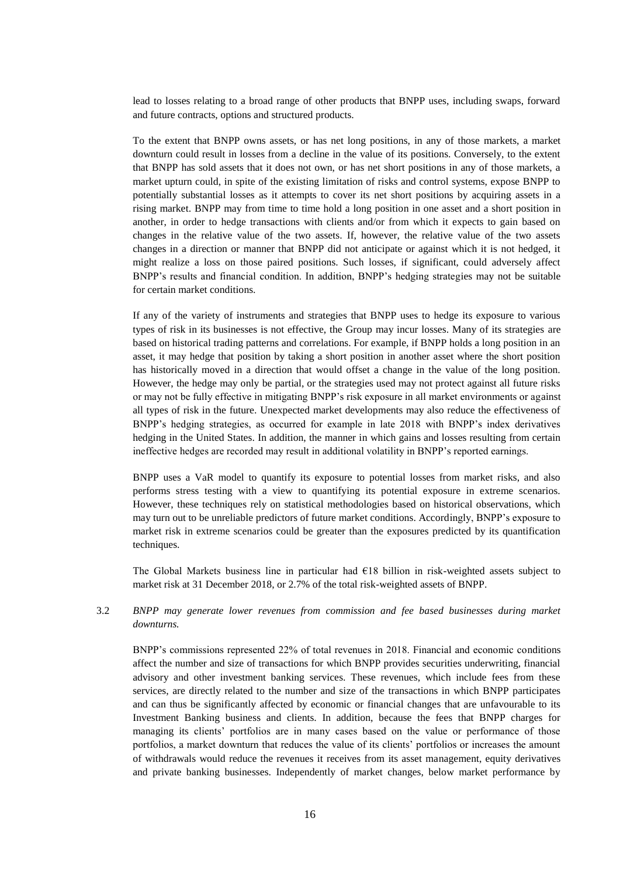lead to losses relating to a broad range of other products that BNPP uses, including swaps, forward and future contracts, options and structured products.

To the extent that BNPP owns assets, or has net long positions, in any of those markets, a market downturn could result in losses from a decline in the value of its positions. Conversely, to the extent that BNPP has sold assets that it does not own, or has net short positions in any of those markets, a market upturn could, in spite of the existing limitation of risks and control systems, expose BNPP to potentially substantial losses as it attempts to cover its net short positions by acquiring assets in a rising market. BNPP may from time to time hold a long position in one asset and a short position in another, in order to hedge transactions with clients and/or from which it expects to gain based on changes in the relative value of the two assets. If, however, the relative value of the two assets changes in a direction or manner that BNPP did not anticipate or against which it is not hedged, it might realize a loss on those paired positions. Such losses, if significant, could adversely affect BNPP's results and financial condition. In addition, BNPP's hedging strategies may not be suitable for certain market conditions.

If any of the variety of instruments and strategies that BNPP uses to hedge its exposure to various types of risk in its businesses is not effective, the Group may incur losses. Many of its strategies are based on historical trading patterns and correlations. For example, if BNPP holds a long position in an asset, it may hedge that position by taking a short position in another asset where the short position has historically moved in a direction that would offset a change in the value of the long position. However, the hedge may only be partial, or the strategies used may not protect against all future risks or may not be fully effective in mitigating BNPP's risk exposure in all market environments or against all types of risk in the future. Unexpected market developments may also reduce the effectiveness of BNPP's hedging strategies, as occurred for example in late 2018 with BNPP's index derivatives hedging in the United States. In addition, the manner in which gains and losses resulting from certain ineffective hedges are recorded may result in additional volatility in BNPP's reported earnings.

BNPP uses a VaR model to quantify its exposure to potential losses from market risks, and also performs stress testing with a view to quantifying its potential exposure in extreme scenarios. However, these techniques rely on statistical methodologies based on historical observations, which may turn out to be unreliable predictors of future market conditions. Accordingly, BNPP's exposure to market risk in extreme scenarios could be greater than the exposures predicted by its quantification techniques.

The Global Markets business line in particular had  $E18$  billion in risk-weighted assets subject to market risk at 31 December 2018, or 2.7% of the total risk-weighted assets of BNPP.

# 3.2 *BNPP may generate lower revenues from commission and fee based businesses during market downturns.*

BNPP's commissions represented 22% of total revenues in 2018. Financial and economic conditions affect the number and size of transactions for which BNPP provides securities underwriting, financial advisory and other investment banking services. These revenues, which include fees from these services, are directly related to the number and size of the transactions in which BNPP participates and can thus be significantly affected by economic or financial changes that are unfavourable to its Investment Banking business and clients. In addition, because the fees that BNPP charges for managing its clients' portfolios are in many cases based on the value or performance of those portfolios, a market downturn that reduces the value of its clients' portfolios or increases the amount of withdrawals would reduce the revenues it receives from its asset management, equity derivatives and private banking businesses. Independently of market changes, below market performance by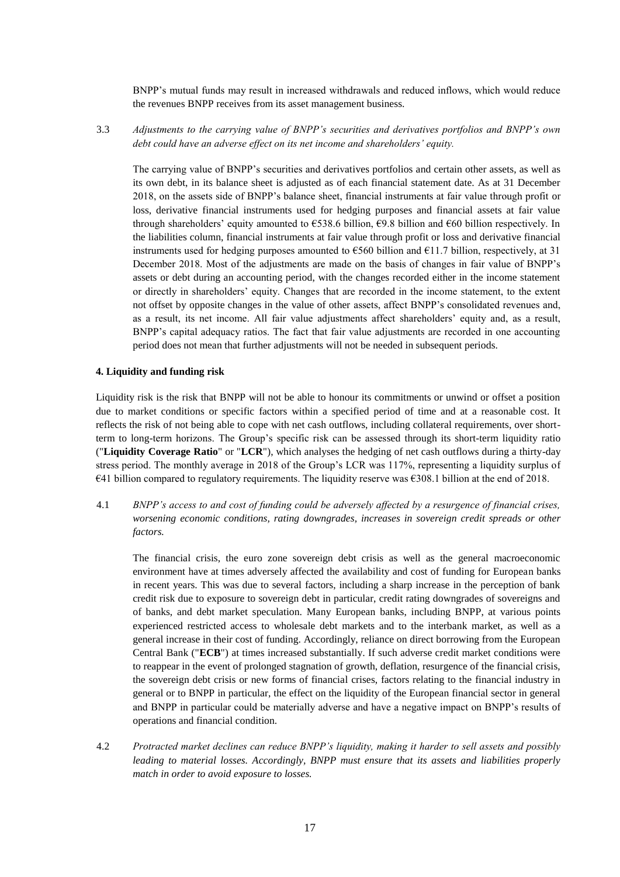BNPP's mutual funds may result in increased withdrawals and reduced inflows, which would reduce the revenues BNPP receives from its asset management business.

3.3 *Adjustments to the carrying value of BNPP's securities and derivatives portfolios and BNPP's own debt could have an adverse effect on its net income and shareholders' equity.*

The carrying value of BNPP's securities and derivatives portfolios and certain other assets, as well as its own debt, in its balance sheet is adjusted as of each financial statement date. As at 31 December 2018, on the assets side of BNPP's balance sheet, financial instruments at fair value through profit or loss, derivative financial instruments used for hedging purposes and financial assets at fair value through shareholders' equity amounted to  $\epsilon$ 538.6 billion,  $\epsilon$ 9.8 billion and  $\epsilon$ 60 billion respectively. In the liabilities column, financial instruments at fair value through profit or loss and derivative financial instruments used for hedging purposes amounted to  $\epsilon$ 560 billion and  $\epsilon$ 11.7 billion, respectively, at 31 December 2018. Most of the adjustments are made on the basis of changes in fair value of BNPP's assets or debt during an accounting period, with the changes recorded either in the income statement or directly in shareholders' equity. Changes that are recorded in the income statement, to the extent not offset by opposite changes in the value of other assets, affect BNPP's consolidated revenues and, as a result, its net income. All fair value adjustments affect shareholders' equity and, as a result, BNPP's capital adequacy ratios. The fact that fair value adjustments are recorded in one accounting period does not mean that further adjustments will not be needed in subsequent periods.

#### **4. Liquidity and funding risk**

Liquidity risk is the risk that BNPP will not be able to honour its commitments or unwind or offset a position due to market conditions or specific factors within a specified period of time and at a reasonable cost. It reflects the risk of not being able to cope with net cash outflows, including collateral requirements, over shortterm to long-term horizons. The Group's specific risk can be assessed through its short-term liquidity ratio ("**Liquidity Coverage Ratio**" or "**LCR**"), which analyses the hedging of net cash outflows during a thirty-day stress period. The monthly average in 2018 of the Group's LCR was 117%, representing a liquidity surplus of  $\epsilon$ 41 billion compared to regulatory requirements. The liquidity reserve was  $\epsilon$ 308.1 billion at the end of 2018.

4.1 *BNPP's access to and cost of funding could be adversely affected by a resurgence of financial crises, worsening economic conditions, rating downgrades, increases in sovereign credit spreads or other factors.*

The financial crisis, the euro zone sovereign debt crisis as well as the general macroeconomic environment have at times adversely affected the availability and cost of funding for European banks in recent years. This was due to several factors, including a sharp increase in the perception of bank credit risk due to exposure to sovereign debt in particular, credit rating downgrades of sovereigns and of banks, and debt market speculation. Many European banks, including BNPP, at various points experienced restricted access to wholesale debt markets and to the interbank market, as well as a general increase in their cost of funding. Accordingly, reliance on direct borrowing from the European Central Bank ("**ECB**") at times increased substantially. If such adverse credit market conditions were to reappear in the event of prolonged stagnation of growth, deflation, resurgence of the financial crisis, the sovereign debt crisis or new forms of financial crises, factors relating to the financial industry in general or to BNPP in particular, the effect on the liquidity of the European financial sector in general and BNPP in particular could be materially adverse and have a negative impact on BNPP's results of operations and financial condition.

4.2 *Protracted market declines can reduce BNPP's liquidity, making it harder to sell assets and possibly leading to material losses. Accordingly, BNPP must ensure that its assets and liabilities properly match in order to avoid exposure to losses.*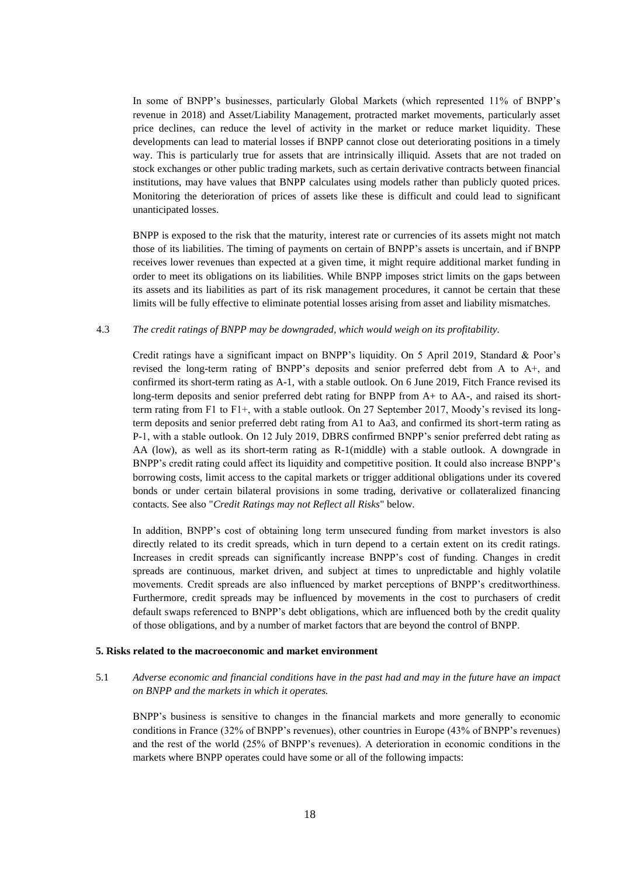In some of BNPP's businesses, particularly Global Markets (which represented 11% of BNPP's revenue in 2018) and Asset/Liability Management, protracted market movements, particularly asset price declines, can reduce the level of activity in the market or reduce market liquidity. These developments can lead to material losses if BNPP cannot close out deteriorating positions in a timely way. This is particularly true for assets that are intrinsically illiquid. Assets that are not traded on stock exchanges or other public trading markets, such as certain derivative contracts between financial institutions, may have values that BNPP calculates using models rather than publicly quoted prices. Monitoring the deterioration of prices of assets like these is difficult and could lead to significant unanticipated losses.

BNPP is exposed to the risk that the maturity, interest rate or currencies of its assets might not match those of its liabilities. The timing of payments on certain of BNPP's assets is uncertain, and if BNPP receives lower revenues than expected at a given time, it might require additional market funding in order to meet its obligations on its liabilities. While BNPP imposes strict limits on the gaps between its assets and its liabilities as part of its risk management procedures, it cannot be certain that these limits will be fully effective to eliminate potential losses arising from asset and liability mismatches.

#### 4.3 *The credit ratings of BNPP may be downgraded, which would weigh on its profitability.*

Credit ratings have a significant impact on BNPP's liquidity. On 5 April 2019, Standard & Poor's revised the long-term rating of BNPP's deposits and senior preferred debt from A to A+, and confirmed its short-term rating as A-1, with a stable outlook. On 6 June 2019, Fitch France revised its long-term deposits and senior preferred debt rating for BNPP from A+ to AA-, and raised its shortterm rating from F1 to F1+, with a stable outlook. On 27 September 2017, Moody's revised its longterm deposits and senior preferred debt rating from A1 to Aa3, and confirmed its short-term rating as P-1, with a stable outlook. On 12 July 2019, DBRS confirmed BNPP's senior preferred debt rating as AA (low), as well as its short-term rating as R-1(middle) with a stable outlook. A downgrade in BNPP's credit rating could affect its liquidity and competitive position. It could also increase BNPP's borrowing costs, limit access to the capital markets or trigger additional obligations under its covered bonds or under certain bilateral provisions in some trading, derivative or collateralized financing contacts. See also "*Credit Ratings may not Reflect all Risks*" below.

In addition, BNPP's cost of obtaining long term unsecured funding from market investors is also directly related to its credit spreads, which in turn depend to a certain extent on its credit ratings. Increases in credit spreads can significantly increase BNPP's cost of funding. Changes in credit spreads are continuous, market driven, and subject at times to unpredictable and highly volatile movements. Credit spreads are also influenced by market perceptions of BNPP's creditworthiness. Furthermore, credit spreads may be influenced by movements in the cost to purchasers of credit default swaps referenced to BNPP's debt obligations, which are influenced both by the credit quality of those obligations, and by a number of market factors that are beyond the control of BNPP.

#### **5. Risks related to the macroeconomic and market environment**

5.1 *Adverse economic and financial conditions have in the past had and may in the future have an impact on BNPP and the markets in which it operates.*

BNPP's business is sensitive to changes in the financial markets and more generally to economic conditions in France (32% of BNPP's revenues), other countries in Europe (43% of BNPP's revenues) and the rest of the world (25% of BNPP's revenues). A deterioration in economic conditions in the markets where BNPP operates could have some or all of the following impacts: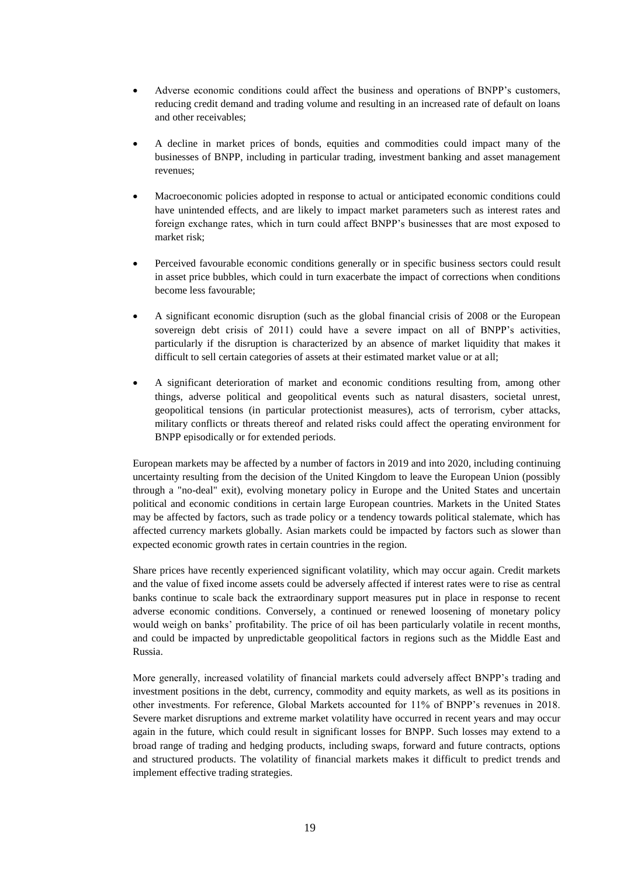- Adverse economic conditions could affect the business and operations of BNPP's customers, reducing credit demand and trading volume and resulting in an increased rate of default on loans and other receivables;
- A decline in market prices of bonds, equities and commodities could impact many of the businesses of BNPP, including in particular trading, investment banking and asset management revenues;
- Macroeconomic policies adopted in response to actual or anticipated economic conditions could have unintended effects, and are likely to impact market parameters such as interest rates and foreign exchange rates, which in turn could affect BNPP's businesses that are most exposed to market risk;
- Perceived favourable economic conditions generally or in specific business sectors could result in asset price bubbles, which could in turn exacerbate the impact of corrections when conditions become less favourable;
- A significant economic disruption (such as the global financial crisis of 2008 or the European sovereign debt crisis of 2011) could have a severe impact on all of BNPP's activities, particularly if the disruption is characterized by an absence of market liquidity that makes it difficult to sell certain categories of assets at their estimated market value or at all;
- A significant deterioration of market and economic conditions resulting from, among other things, adverse political and geopolitical events such as natural disasters, societal unrest, geopolitical tensions (in particular protectionist measures), acts of terrorism, cyber attacks, military conflicts or threats thereof and related risks could affect the operating environment for BNPP episodically or for extended periods.

European markets may be affected by a number of factors in 2019 and into 2020, including continuing uncertainty resulting from the decision of the United Kingdom to leave the European Union (possibly through a "no-deal" exit), evolving monetary policy in Europe and the United States and uncertain political and economic conditions in certain large European countries. Markets in the United States may be affected by factors, such as trade policy or a tendency towards political stalemate, which has affected currency markets globally. Asian markets could be impacted by factors such as slower than expected economic growth rates in certain countries in the region.

Share prices have recently experienced significant volatility, which may occur again. Credit markets and the value of fixed income assets could be adversely affected if interest rates were to rise as central banks continue to scale back the extraordinary support measures put in place in response to recent adverse economic conditions. Conversely, a continued or renewed loosening of monetary policy would weigh on banks' profitability. The price of oil has been particularly volatile in recent months, and could be impacted by unpredictable geopolitical factors in regions such as the Middle East and Russia.

More generally, increased volatility of financial markets could adversely affect BNPP's trading and investment positions in the debt, currency, commodity and equity markets, as well as its positions in other investments. For reference, Global Markets accounted for 11% of BNPP's revenues in 2018. Severe market disruptions and extreme market volatility have occurred in recent years and may occur again in the future, which could result in significant losses for BNPP. Such losses may extend to a broad range of trading and hedging products, including swaps, forward and future contracts, options and structured products. The volatility of financial markets makes it difficult to predict trends and implement effective trading strategies.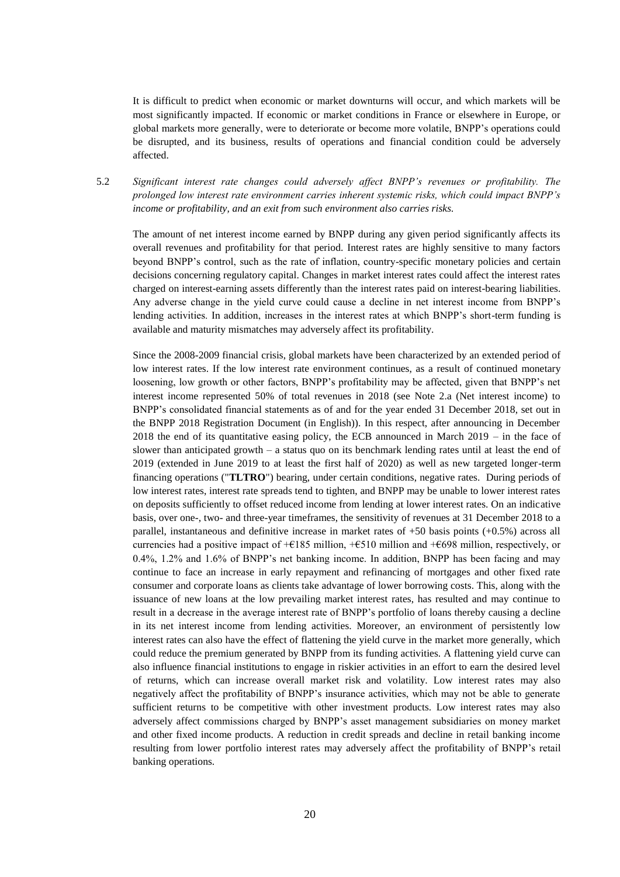It is difficult to predict when economic or market downturns will occur, and which markets will be most significantly impacted. If economic or market conditions in France or elsewhere in Europe, or global markets more generally, were to deteriorate or become more volatile, BNPP's operations could be disrupted, and its business, results of operations and financial condition could be adversely affected.

5.2 *Significant interest rate changes could adversely affect BNPP's revenues or profitability. The prolonged low interest rate environment carries inherent systemic risks, which could impact BNPP's income or profitability, and an exit from such environment also carries risks.*

The amount of net interest income earned by BNPP during any given period significantly affects its overall revenues and profitability for that period. Interest rates are highly sensitive to many factors beyond BNPP's control, such as the rate of inflation, country-specific monetary policies and certain decisions concerning regulatory capital. Changes in market interest rates could affect the interest rates charged on interest-earning assets differently than the interest rates paid on interest-bearing liabilities. Any adverse change in the yield curve could cause a decline in net interest income from BNPP's lending activities. In addition, increases in the interest rates at which BNPP's short-term funding is available and maturity mismatches may adversely affect its profitability.

Since the 2008-2009 financial crisis, global markets have been characterized by an extended period of low interest rates. If the low interest rate environment continues, as a result of continued monetary loosening, low growth or other factors, BNPP's profitability may be affected, given that BNPP's net interest income represented 50% of total revenues in 2018 (see Note 2.a (Net interest income) to BNPP's consolidated financial statements as of and for the year ended 31 December 2018, set out in the BNPP 2018 Registration Document (in English)). In this respect, after announcing in December 2018 the end of its quantitative easing policy, the ECB announced in March 2019 – in the face of slower than anticipated growth – a status quo on its benchmark lending rates until at least the end of 2019 (extended in June 2019 to at least the first half of 2020) as well as new targeted longer-term financing operations ("**TLTRO**") bearing, under certain conditions, negative rates. During periods of low interest rates, interest rate spreads tend to tighten, and BNPP may be unable to lower interest rates on deposits sufficiently to offset reduced income from lending at lower interest rates. On an indicative basis, over one-, two- and three-year timeframes, the sensitivity of revenues at 31 December 2018 to a parallel, instantaneous and definitive increase in market rates of +50 basis points (+0.5%) across all currencies had a positive impact of  $+E185$  million,  $+E510$  million and  $+E698$  million, respectively, or 0.4%, 1.2% and 1.6% of BNPP's net banking income. In addition, BNPP has been facing and may continue to face an increase in early repayment and refinancing of mortgages and other fixed rate consumer and corporate loans as clients take advantage of lower borrowing costs. This, along with the issuance of new loans at the low prevailing market interest rates, has resulted and may continue to result in a decrease in the average interest rate of BNPP's portfolio of loans thereby causing a decline in its net interest income from lending activities. Moreover, an environment of persistently low interest rates can also have the effect of flattening the yield curve in the market more generally, which could reduce the premium generated by BNPP from its funding activities. A flattening yield curve can also influence financial institutions to engage in riskier activities in an effort to earn the desired level of returns, which can increase overall market risk and volatility. Low interest rates may also negatively affect the profitability of BNPP's insurance activities, which may not be able to generate sufficient returns to be competitive with other investment products. Low interest rates may also adversely affect commissions charged by BNPP's asset management subsidiaries on money market and other fixed income products. A reduction in credit spreads and decline in retail banking income resulting from lower portfolio interest rates may adversely affect the profitability of BNPP's retail banking operations.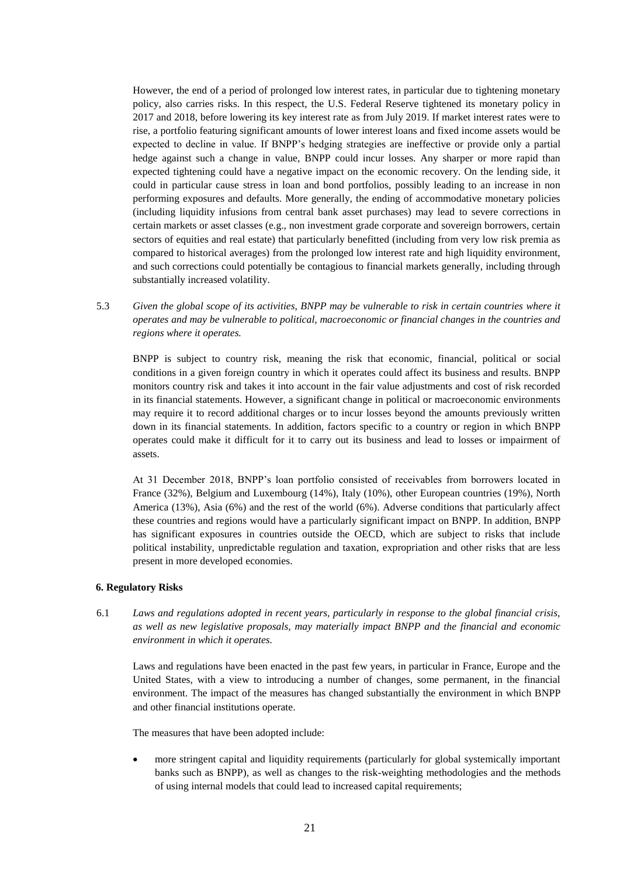However, the end of a period of prolonged low interest rates, in particular due to tightening monetary policy, also carries risks. In this respect, the U.S. Federal Reserve tightened its monetary policy in 2017 and 2018, before lowering its key interest rate as from July 2019. If market interest rates were to rise, a portfolio featuring significant amounts of lower interest loans and fixed income assets would be expected to decline in value. If BNPP's hedging strategies are ineffective or provide only a partial hedge against such a change in value, BNPP could incur losses. Any sharper or more rapid than expected tightening could have a negative impact on the economic recovery. On the lending side, it could in particular cause stress in loan and bond portfolios, possibly leading to an increase in non performing exposures and defaults. More generally, the ending of accommodative monetary policies (including liquidity infusions from central bank asset purchases) may lead to severe corrections in certain markets or asset classes (e.g., non investment grade corporate and sovereign borrowers, certain sectors of equities and real estate) that particularly benefitted (including from very low risk premia as compared to historical averages) from the prolonged low interest rate and high liquidity environment, and such corrections could potentially be contagious to financial markets generally, including through substantially increased volatility.

5.3 *Given the global scope of its activities, BNPP may be vulnerable to risk in certain countries where it operates and may be vulnerable to political, macroeconomic or financial changes in the countries and regions where it operates.*

BNPP is subject to country risk, meaning the risk that economic, financial, political or social conditions in a given foreign country in which it operates could affect its business and results. BNPP monitors country risk and takes it into account in the fair value adjustments and cost of risk recorded in its financial statements. However, a significant change in political or macroeconomic environments may require it to record additional charges or to incur losses beyond the amounts previously written down in its financial statements. In addition, factors specific to a country or region in which BNPP operates could make it difficult for it to carry out its business and lead to losses or impairment of assets.

At 31 December 2018, BNPP's loan portfolio consisted of receivables from borrowers located in France (32%), Belgium and Luxembourg (14%), Italy (10%), other European countries (19%), North America (13%), Asia (6%) and the rest of the world (6%). Adverse conditions that particularly affect these countries and regions would have a particularly significant impact on BNPP. In addition, BNPP has significant exposures in countries outside the OECD, which are subject to risks that include political instability, unpredictable regulation and taxation, expropriation and other risks that are less present in more developed economies.

#### **6. Regulatory Risks**

6.1 *Laws and regulations adopted in recent years, particularly in response to the global financial crisis, as well as new legislative proposals, may materially impact BNPP and the financial and economic environment in which it operates.*

Laws and regulations have been enacted in the past few years, in particular in France, Europe and the United States, with a view to introducing a number of changes, some permanent, in the financial environment. The impact of the measures has changed substantially the environment in which BNPP and other financial institutions operate.

The measures that have been adopted include:

 more stringent capital and liquidity requirements (particularly for global systemically important banks such as BNPP), as well as changes to the risk-weighting methodologies and the methods of using internal models that could lead to increased capital requirements;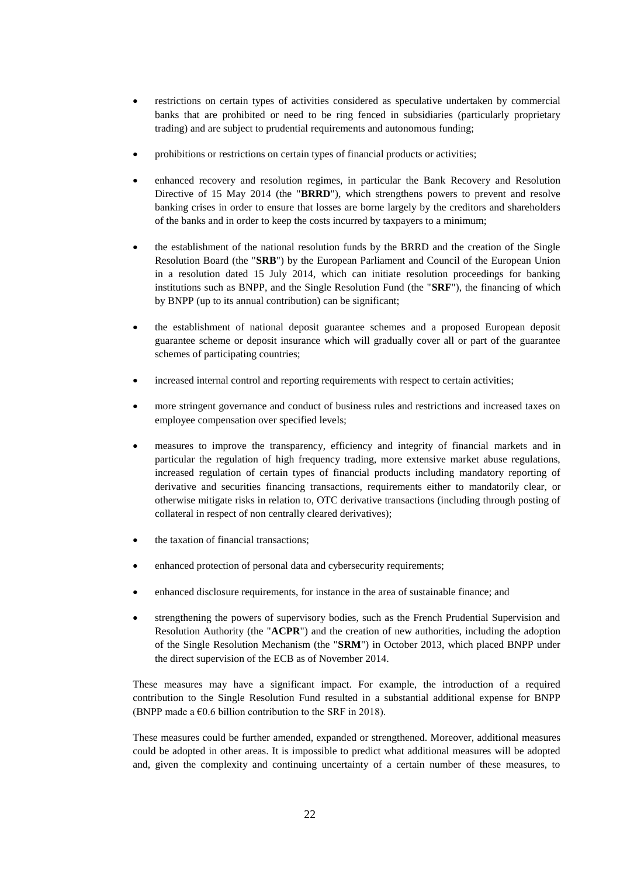- restrictions on certain types of activities considered as speculative undertaken by commercial banks that are prohibited or need to be ring fenced in subsidiaries (particularly proprietary trading) and are subject to prudential requirements and autonomous funding;
- prohibitions or restrictions on certain types of financial products or activities;
- enhanced recovery and resolution regimes, in particular the Bank Recovery and Resolution Directive of 15 May 2014 (the "**BRRD**"), which strengthens powers to prevent and resolve banking crises in order to ensure that losses are borne largely by the creditors and shareholders of the banks and in order to keep the costs incurred by taxpayers to a minimum;
- the establishment of the national resolution funds by the BRRD and the creation of the Single Resolution Board (the "**SRB**") by the European Parliament and Council of the European Union in a resolution dated 15 July 2014, which can initiate resolution proceedings for banking institutions such as BNPP, and the Single Resolution Fund (the "**SRF**"), the financing of which by BNPP (up to its annual contribution) can be significant;
- the establishment of national deposit guarantee schemes and a proposed European deposit guarantee scheme or deposit insurance which will gradually cover all or part of the guarantee schemes of participating countries;
- increased internal control and reporting requirements with respect to certain activities;
- more stringent governance and conduct of business rules and restrictions and increased taxes on employee compensation over specified levels;
- measures to improve the transparency, efficiency and integrity of financial markets and in particular the regulation of high frequency trading, more extensive market abuse regulations, increased regulation of certain types of financial products including mandatory reporting of derivative and securities financing transactions, requirements either to mandatorily clear, or otherwise mitigate risks in relation to, OTC derivative transactions (including through posting of collateral in respect of non centrally cleared derivatives);
- the taxation of financial transactions;
- enhanced protection of personal data and cybersecurity requirements;
- enhanced disclosure requirements, for instance in the area of sustainable finance; and
- strengthening the powers of supervisory bodies, such as the French Prudential Supervision and Resolution Authority (the "**ACPR**") and the creation of new authorities, including the adoption of the Single Resolution Mechanism (the "**SRM**") in October 2013, which placed BNPP under the direct supervision of the ECB as of November 2014.

These measures may have a significant impact. For example, the introduction of a required contribution to the Single Resolution Fund resulted in a substantial additional expense for BNPP (BNPP made a  $\epsilon$ 0.6 billion contribution to the SRF in 2018).

These measures could be further amended, expanded or strengthened. Moreover, additional measures could be adopted in other areas. It is impossible to predict what additional measures will be adopted and, given the complexity and continuing uncertainty of a certain number of these measures, to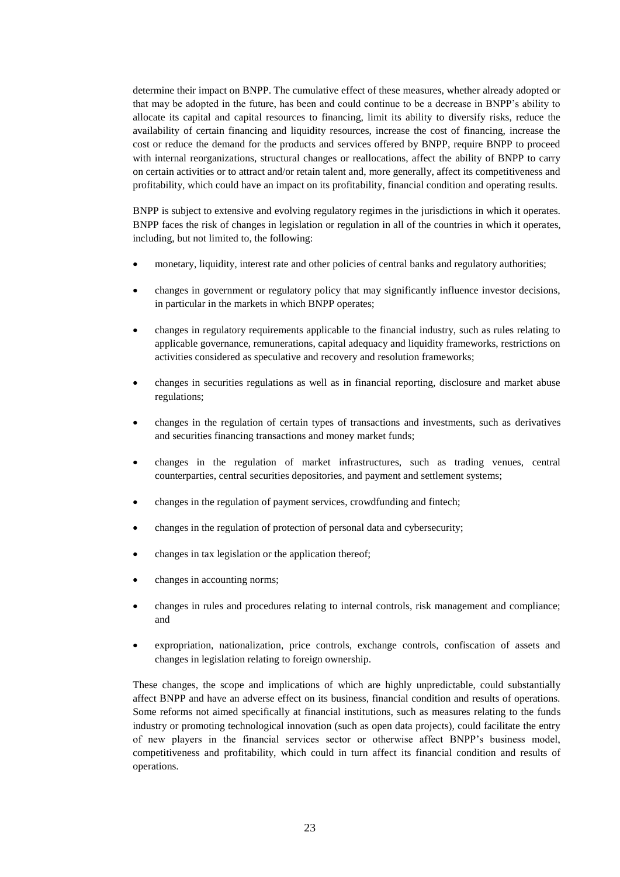determine their impact on BNPP. The cumulative effect of these measures, whether already adopted or that may be adopted in the future, has been and could continue to be a decrease in BNPP's ability to allocate its capital and capital resources to financing, limit its ability to diversify risks, reduce the availability of certain financing and liquidity resources, increase the cost of financing, increase the cost or reduce the demand for the products and services offered by BNPP, require BNPP to proceed with internal reorganizations, structural changes or reallocations, affect the ability of BNPP to carry on certain activities or to attract and/or retain talent and, more generally, affect its competitiveness and profitability, which could have an impact on its profitability, financial condition and operating results.

BNPP is subject to extensive and evolving regulatory regimes in the jurisdictions in which it operates. BNPP faces the risk of changes in legislation or regulation in all of the countries in which it operates, including, but not limited to, the following:

- monetary, liquidity, interest rate and other policies of central banks and regulatory authorities;
- changes in government or regulatory policy that may significantly influence investor decisions, in particular in the markets in which BNPP operates;
- changes in regulatory requirements applicable to the financial industry, such as rules relating to applicable governance, remunerations, capital adequacy and liquidity frameworks, restrictions on activities considered as speculative and recovery and resolution frameworks;
- changes in securities regulations as well as in financial reporting, disclosure and market abuse regulations;
- changes in the regulation of certain types of transactions and investments, such as derivatives and securities financing transactions and money market funds;
- changes in the regulation of market infrastructures, such as trading venues, central counterparties, central securities depositories, and payment and settlement systems;
- changes in the regulation of payment services, crowdfunding and fintech;
- changes in the regulation of protection of personal data and cybersecurity;
- changes in tax legislation or the application thereof;
- changes in accounting norms;
- changes in rules and procedures relating to internal controls, risk management and compliance; and
- expropriation, nationalization, price controls, exchange controls, confiscation of assets and changes in legislation relating to foreign ownership.

These changes, the scope and implications of which are highly unpredictable, could substantially affect BNPP and have an adverse effect on its business, financial condition and results of operations. Some reforms not aimed specifically at financial institutions, such as measures relating to the funds industry or promoting technological innovation (such as open data projects), could facilitate the entry of new players in the financial services sector or otherwise affect BNPP's business model, competitiveness and profitability, which could in turn affect its financial condition and results of operations.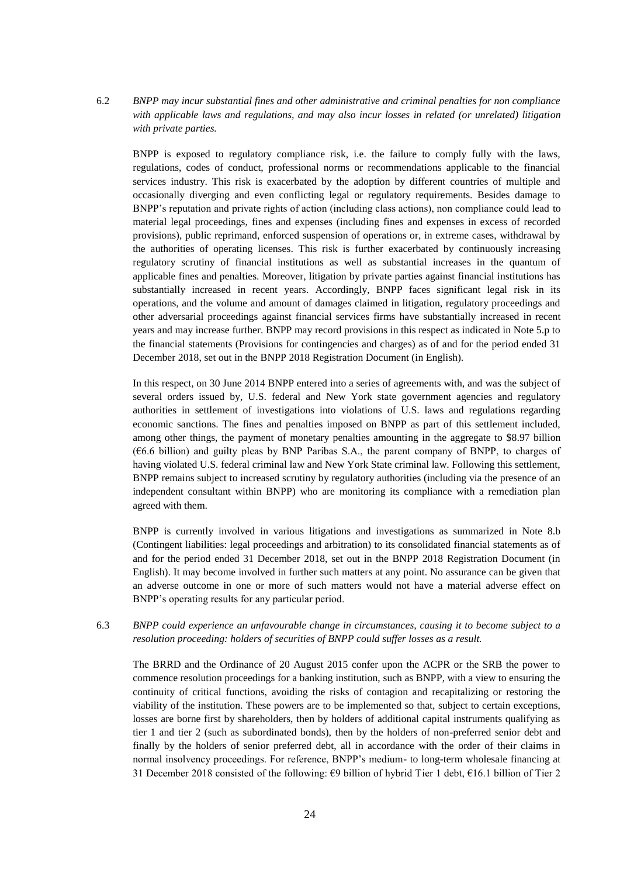6.2 *BNPP may incur substantial fines and other administrative and criminal penalties for non compliance with applicable laws and regulations, and may also incur losses in related (or unrelated) litigation with private parties.*

BNPP is exposed to regulatory compliance risk, i.e. the failure to comply fully with the laws, regulations, codes of conduct, professional norms or recommendations applicable to the financial services industry. This risk is exacerbated by the adoption by different countries of multiple and occasionally diverging and even conflicting legal or regulatory requirements. Besides damage to BNPP's reputation and private rights of action (including class actions), non compliance could lead to material legal proceedings, fines and expenses (including fines and expenses in excess of recorded provisions), public reprimand, enforced suspension of operations or, in extreme cases, withdrawal by the authorities of operating licenses. This risk is further exacerbated by continuously increasing regulatory scrutiny of financial institutions as well as substantial increases in the quantum of applicable fines and penalties. Moreover, litigation by private parties against financial institutions has substantially increased in recent years. Accordingly, BNPP faces significant legal risk in its operations, and the volume and amount of damages claimed in litigation, regulatory proceedings and other adversarial proceedings against financial services firms have substantially increased in recent years and may increase further. BNPP may record provisions in this respect as indicated in Note 5.p to the financial statements (Provisions for contingencies and charges) as of and for the period ended 31 December 2018, set out in the BNPP 2018 Registration Document (in English).

In this respect, on 30 June 2014 BNPP entered into a series of agreements with, and was the subject of several orders issued by, U.S. federal and New York state government agencies and regulatory authorities in settlement of investigations into violations of U.S. laws and regulations regarding economic sanctions. The fines and penalties imposed on BNPP as part of this settlement included, among other things, the payment of monetary penalties amounting in the aggregate to \$8.97 billion (€6.6 billion) and guilty pleas by BNP Paribas S.A., the parent company of BNPP, to charges of having violated U.S. federal criminal law and New York State criminal law. Following this settlement, BNPP remains subject to increased scrutiny by regulatory authorities (including via the presence of an independent consultant within BNPP) who are monitoring its compliance with a remediation plan agreed with them.

BNPP is currently involved in various litigations and investigations as summarized in Note 8.b (Contingent liabilities: legal proceedings and arbitration) to its consolidated financial statements as of and for the period ended 31 December 2018, set out in the BNPP 2018 Registration Document (in English). It may become involved in further such matters at any point. No assurance can be given that an adverse outcome in one or more of such matters would not have a material adverse effect on BNPP's operating results for any particular period.

6.3 *BNPP could experience an unfavourable change in circumstances, causing it to become subject to a resolution proceeding: holders of securities of BNPP could suffer losses as a result.*

The BRRD and the Ordinance of 20 August 2015 confer upon the ACPR or the SRB the power to commence resolution proceedings for a banking institution, such as BNPP, with a view to ensuring the continuity of critical functions, avoiding the risks of contagion and recapitalizing or restoring the viability of the institution. These powers are to be implemented so that, subject to certain exceptions, losses are borne first by shareholders, then by holders of additional capital instruments qualifying as tier 1 and tier 2 (such as subordinated bonds), then by the holders of non-preferred senior debt and finally by the holders of senior preferred debt, all in accordance with the order of their claims in normal insolvency proceedings. For reference, BNPP's medium- to long-term wholesale financing at 31 December 2018 consisted of the following: €9 billion of hybrid Tier 1 debt, €16.1 billion of Tier 2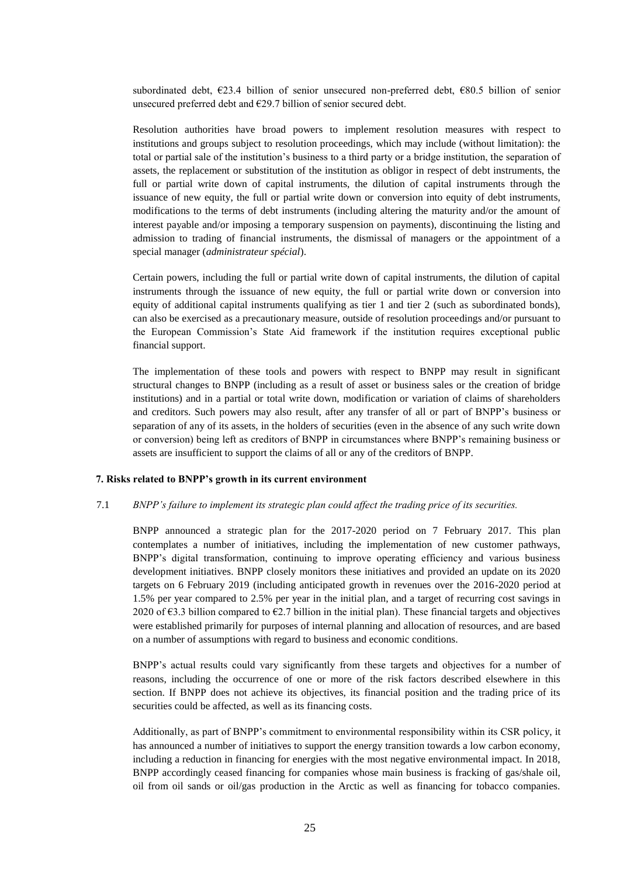subordinated debt, €23.4 billion of senior unsecured non-preferred debt, €80.5 billion of senior unsecured preferred debt and  $E29.7$  billion of senior secured debt.

Resolution authorities have broad powers to implement resolution measures with respect to institutions and groups subject to resolution proceedings, which may include (without limitation): the total or partial sale of the institution's business to a third party or a bridge institution, the separation of assets, the replacement or substitution of the institution as obligor in respect of debt instruments, the full or partial write down of capital instruments, the dilution of capital instruments through the issuance of new equity, the full or partial write down or conversion into equity of debt instruments, modifications to the terms of debt instruments (including altering the maturity and/or the amount of interest payable and/or imposing a temporary suspension on payments), discontinuing the listing and admission to trading of financial instruments, the dismissal of managers or the appointment of a special manager (*administrateur spécial*).

Certain powers, including the full or partial write down of capital instruments, the dilution of capital instruments through the issuance of new equity, the full or partial write down or conversion into equity of additional capital instruments qualifying as tier 1 and tier 2 (such as subordinated bonds), can also be exercised as a precautionary measure, outside of resolution proceedings and/or pursuant to the European Commission's State Aid framework if the institution requires exceptional public financial support.

The implementation of these tools and powers with respect to BNPP may result in significant structural changes to BNPP (including as a result of asset or business sales or the creation of bridge institutions) and in a partial or total write down, modification or variation of claims of shareholders and creditors. Such powers may also result, after any transfer of all or part of BNPP's business or separation of any of its assets, in the holders of securities (even in the absence of any such write down or conversion) being left as creditors of BNPP in circumstances where BNPP's remaining business or assets are insufficient to support the claims of all or any of the creditors of BNPP.

#### **7. Risks related to BNPP's growth in its current environment**

#### 7.1 *BNPP's failure to implement its strategic plan could affect the trading price of its securities.*

BNPP announced a strategic plan for the 2017-2020 period on 7 February 2017. This plan contemplates a number of initiatives, including the implementation of new customer pathways, BNPP's digital transformation, continuing to improve operating efficiency and various business development initiatives. BNPP closely monitors these initiatives and provided an update on its 2020 targets on 6 February 2019 (including anticipated growth in revenues over the 2016-2020 period at 1.5% per year compared to 2.5% per year in the initial plan, and a target of recurring cost savings in 2020 of  $\epsilon$ 3.3 billion compared to  $\epsilon$ 2.7 billion in the initial plan). These financial targets and objectives were established primarily for purposes of internal planning and allocation of resources, and are based on a number of assumptions with regard to business and economic conditions.

BNPP's actual results could vary significantly from these targets and objectives for a number of reasons, including the occurrence of one or more of the risk factors described elsewhere in this section. If BNPP does not achieve its objectives, its financial position and the trading price of its securities could be affected, as well as its financing costs.

Additionally, as part of BNPP's commitment to environmental responsibility within its CSR policy, it has announced a number of initiatives to support the energy transition towards a low carbon economy, including a reduction in financing for energies with the most negative environmental impact. In 2018, BNPP accordingly ceased financing for companies whose main business is fracking of gas/shale oil, oil from oil sands or oil/gas production in the Arctic as well as financing for tobacco companies.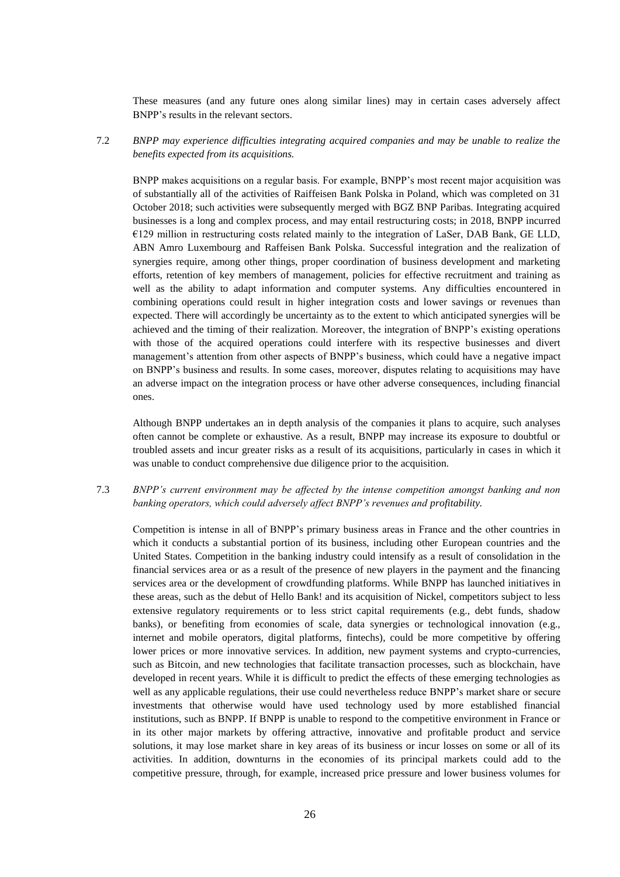These measures (and any future ones along similar lines) may in certain cases adversely affect BNPP's results in the relevant sectors.

7.2 *BNPP may experience difficulties integrating acquired companies and may be unable to realize the benefits expected from its acquisitions.*

BNPP makes acquisitions on a regular basis. For example, BNPP's most recent major acquisition was of substantially all of the activities of Raiffeisen Bank Polska in Poland, which was completed on 31 October 2018; such activities were subsequently merged with BGZ BNP Paribas. Integrating acquired businesses is a long and complex process, and may entail restructuring costs; in 2018, BNPP incurred  $€129$  million in restructuring costs related mainly to the integration of LaSer, DAB Bank, GE LLD, ABN Amro Luxembourg and Raffeisen Bank Polska. Successful integration and the realization of synergies require, among other things, proper coordination of business development and marketing efforts, retention of key members of management, policies for effective recruitment and training as well as the ability to adapt information and computer systems. Any difficulties encountered in combining operations could result in higher integration costs and lower savings or revenues than expected. There will accordingly be uncertainty as to the extent to which anticipated synergies will be achieved and the timing of their realization. Moreover, the integration of BNPP's existing operations with those of the acquired operations could interfere with its respective businesses and divert management's attention from other aspects of BNPP's business, which could have a negative impact on BNPP's business and results. In some cases, moreover, disputes relating to acquisitions may have an adverse impact on the integration process or have other adverse consequences, including financial ones.

Although BNPP undertakes an in depth analysis of the companies it plans to acquire, such analyses often cannot be complete or exhaustive. As a result, BNPP may increase its exposure to doubtful or troubled assets and incur greater risks as a result of its acquisitions, particularly in cases in which it was unable to conduct comprehensive due diligence prior to the acquisition.

# 7.3 *BNPP's current environment may be affected by the intense competition amongst banking and non banking operators, which could adversely affect BNPP's revenues and profitability.*

Competition is intense in all of BNPP's primary business areas in France and the other countries in which it conducts a substantial portion of its business, including other European countries and the United States. Competition in the banking industry could intensify as a result of consolidation in the financial services area or as a result of the presence of new players in the payment and the financing services area or the development of crowdfunding platforms. While BNPP has launched initiatives in these areas, such as the debut of Hello Bank! and its acquisition of Nickel, competitors subject to less extensive regulatory requirements or to less strict capital requirements (e.g., debt funds, shadow banks), or benefiting from economies of scale, data synergies or technological innovation (e.g., internet and mobile operators, digital platforms, fintechs), could be more competitive by offering lower prices or more innovative services. In addition, new payment systems and crypto-currencies, such as Bitcoin, and new technologies that facilitate transaction processes, such as blockchain, have developed in recent years. While it is difficult to predict the effects of these emerging technologies as well as any applicable regulations, their use could nevertheless reduce BNPP's market share or secure investments that otherwise would have used technology used by more established financial institutions, such as BNPP. If BNPP is unable to respond to the competitive environment in France or in its other major markets by offering attractive, innovative and profitable product and service solutions, it may lose market share in key areas of its business or incur losses on some or all of its activities. In addition, downturns in the economies of its principal markets could add to the competitive pressure, through, for example, increased price pressure and lower business volumes for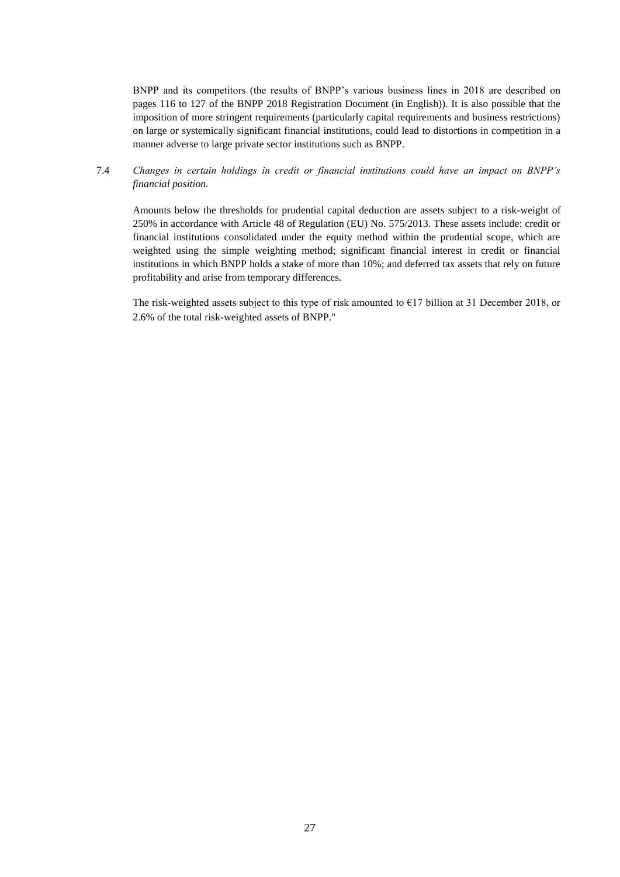BNPP and its competitors (the results of BNPP's various business lines in 2018 are described on pages 116 to 127 of the BNPP 2018 Registration Document (in English)). It is also possible that the imposition of more stringent requirements (particularly capital requirements and business restrictions) on large or systemically significant financial institutions, could lead to distortions in competition in a manner adverse to large private sector institutions such as BNPP.

# 7.4 *Changes in certain holdings in credit or financial institutions could have an impact on BNPP's financial position.*

Amounts below the thresholds for prudential capital deduction are assets subject to a risk-weight of 250% in accordance with Article 48 of Regulation (EU) No. 575/2013. These assets include: credit or financial institutions consolidated under the equity method within the prudential scope, which are weighted using the simple weighting method; significant financial interest in credit or financial institutions in which BNPP holds a stake of more than 10%; and deferred tax assets that rely on future profitability and arise from temporary differences.

The risk-weighted assets subject to this type of risk amounted to  $E17$  billion at 31 December 2018, or 2.6% of the total risk-weighted assets of BNPP."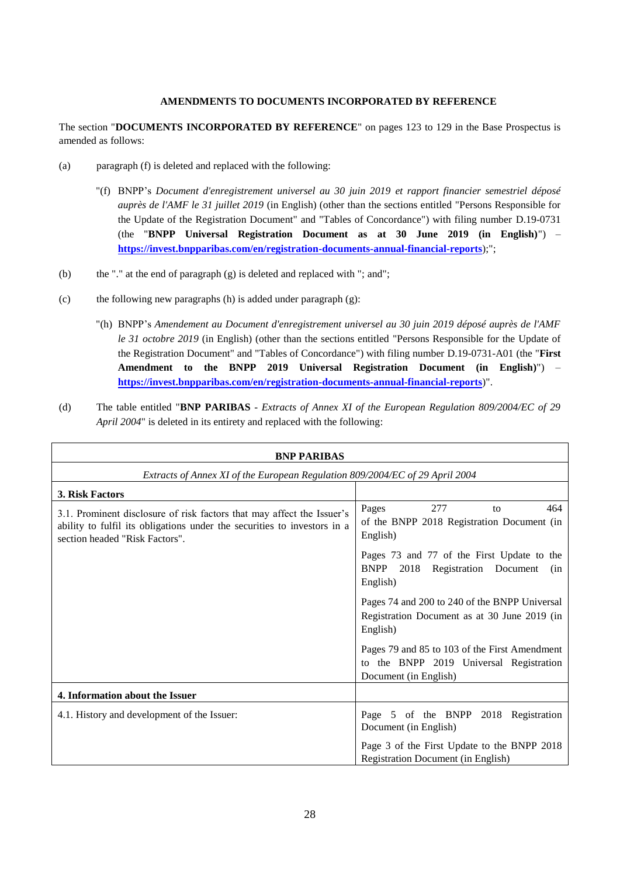# **AMENDMENTS TO DOCUMENTS INCORPORATED BY REFERENCE**

The section "**DOCUMENTS INCORPORATED BY REFERENCE**" on pages 123 to 129 in the Base Prospectus is amended as follows:

- (a) paragraph (f) is deleted and replaced with the following:
	- "(f) BNPP's *Document d'enregistrement universel au 30 juin 2019 et rapport financier semestriel déposé auprès de l'AMF le 31 juillet 2019* (in English) (other than the sections entitled "Persons Responsible for the Update of the Registration Document" and "Tables of Concordance") with filing number D.19-0731 (the "**BNPP Universal Registration Document as at 30 June 2019 (in English)**") – **<https://invest.bnpparibas.com/en/registration-documents-annual-financial-reports>**);";
- (b) the "." at the end of paragraph (g) is deleted and replaced with "; and";
- (c) the following new paragraphs (h) is added under paragraph  $(g)$ :
	- "(h) BNPP's *Amendement au Document d'enregistrement universel au 30 juin 2019 déposé auprès de l'AMF le 31 octobre 2019* (in English) (other than the sections entitled "Persons Responsible for the Update of the Registration Document" and "Tables of Concordance") with filing number D.19-0731-A01 (the "**First Amendment to the BNPP 2019 Universal Registration Document (in English)**") – **<https://invest.bnpparibas.com/en/registration-documents-annual-financial-reports>**)".
- (d) The table entitled "**BNP PARIBAS** *Extracts of Annex XI of the European Regulation 809/2004/EC of 29 April 2004*" is deleted in its entirety and replaced with the following:

| <b>BNP PARIBAS</b>                                                                                                                                                                   |                                                                                                                   |  |  |  |
|--------------------------------------------------------------------------------------------------------------------------------------------------------------------------------------|-------------------------------------------------------------------------------------------------------------------|--|--|--|
| Extracts of Annex XI of the European Regulation 809/2004/EC of 29 April 2004                                                                                                         |                                                                                                                   |  |  |  |
| 3. Risk Factors                                                                                                                                                                      |                                                                                                                   |  |  |  |
| 3.1. Prominent disclosure of risk factors that may affect the Issuer's<br>ability to fulfil its obligations under the securities to investors in a<br>section headed "Risk Factors". | 277<br>Pages<br>464<br>to<br>of the BNPP 2018 Registration Document (in<br>English)                               |  |  |  |
|                                                                                                                                                                                      | Pages 73 and 77 of the First Update to the<br><b>BNPP</b><br>2018<br>Registration Document<br>(in<br>English)     |  |  |  |
|                                                                                                                                                                                      | Pages 74 and 200 to 240 of the BNPP Universal<br>Registration Document as at 30 June 2019 (in<br>English)         |  |  |  |
|                                                                                                                                                                                      | Pages 79 and 85 to 103 of the First Amendment<br>to the BNPP 2019 Universal Registration<br>Document (in English) |  |  |  |
| 4. Information about the Issuer                                                                                                                                                      |                                                                                                                   |  |  |  |
| 4.1. History and development of the Issuer:                                                                                                                                          | Page 5 of the BNPP 2018 Registration<br>Document (in English)                                                     |  |  |  |
|                                                                                                                                                                                      | Page 3 of the First Update to the BNPP 2018<br><b>Registration Document (in English)</b>                          |  |  |  |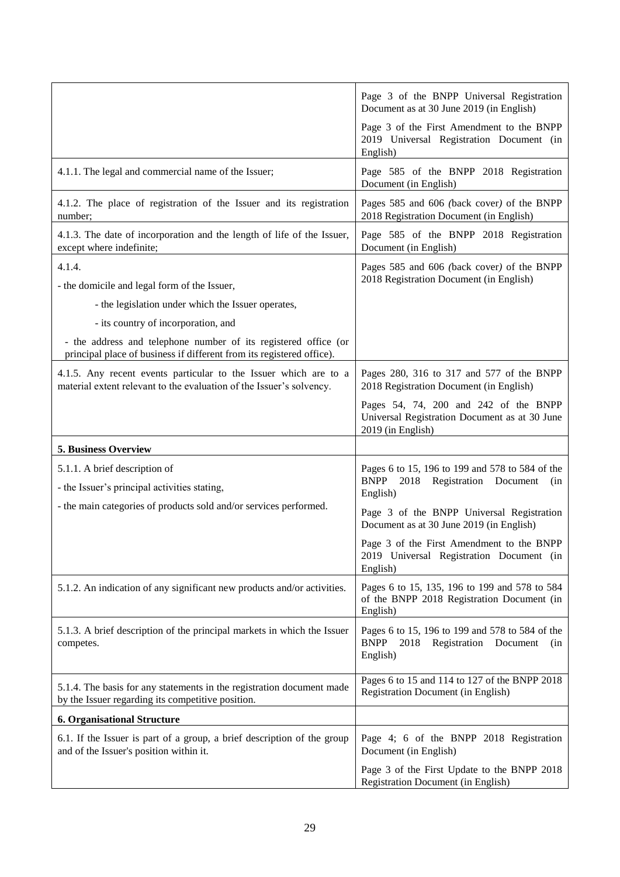|                                                                                                                                          | Page 3 of the BNPP Universal Registration<br>Document as at 30 June 2019 (in English)                               |  |  |
|------------------------------------------------------------------------------------------------------------------------------------------|---------------------------------------------------------------------------------------------------------------------|--|--|
|                                                                                                                                          | Page 3 of the First Amendment to the BNPP<br>2019 Universal Registration Document (in<br>English)                   |  |  |
| 4.1.1. The legal and commercial name of the Issuer;                                                                                      | Page 585 of the BNPP 2018 Registration<br>Document (in English)                                                     |  |  |
| 4.1.2. The place of registration of the Issuer and its registration<br>number;                                                           | Pages 585 and 606 (back cover) of the BNPP<br>2018 Registration Document (in English)                               |  |  |
| 4.1.3. The date of incorporation and the length of life of the Issuer,<br>except where indefinite;                                       | Page 585 of the BNPP 2018 Registration<br>Document (in English)                                                     |  |  |
| 4.1.4.<br>- the domicile and legal form of the Issuer,                                                                                   | Pages 585 and 606 (back cover) of the BNPP<br>2018 Registration Document (in English)                               |  |  |
| - the legislation under which the Issuer operates,                                                                                       |                                                                                                                     |  |  |
| - its country of incorporation, and                                                                                                      |                                                                                                                     |  |  |
| - the address and telephone number of its registered office (or<br>principal place of business if different from its registered office). |                                                                                                                     |  |  |
| 4.1.5. Any recent events particular to the Issuer which are to a<br>material extent relevant to the evaluation of the Issuer's solvency. | Pages 280, 316 to 317 and 577 of the BNPP<br>2018 Registration Document (in English)                                |  |  |
|                                                                                                                                          | Pages 54, 74, 200 and 242 of the BNPP<br>Universal Registration Document as at 30 June<br>2019 (in English)         |  |  |
|                                                                                                                                          |                                                                                                                     |  |  |
| 5. Business Overview                                                                                                                     |                                                                                                                     |  |  |
|                                                                                                                                          |                                                                                                                     |  |  |
| 5.1.1. A brief description of<br>- the Issuer's principal activities stating,                                                            | Pages 6 to 15, 196 to 199 and 578 to 584 of the<br>Registration Document<br><b>BNPP</b><br>2018<br>(in<br>English)  |  |  |
| - the main categories of products sold and/or services performed.                                                                        | Page 3 of the BNPP Universal Registration<br>Document as at 30 June 2019 (in English)                               |  |  |
|                                                                                                                                          | Page 3 of the First Amendment to the BNPP<br>2019 Universal Registration Document (in<br>English)                   |  |  |
| 5.1.2. An indication of any significant new products and/or activities.                                                                  | Pages 6 to 15, 135, 196 to 199 and 578 to 584<br>of the BNPP 2018 Registration Document (in<br>English)             |  |  |
| 5.1.3. A brief description of the principal markets in which the Issuer<br>competes.                                                     | Pages 6 to 15, 196 to 199 and 578 to 584 of the<br><b>BNPP</b><br>Registration Document<br>2018<br>(nn)<br>English) |  |  |
| 5.1.4. The basis for any statements in the registration document made<br>by the Issuer regarding its competitive position.               | Pages 6 to 15 and 114 to 127 of the BNPP 2018<br><b>Registration Document (in English)</b>                          |  |  |
| <b>6. Organisational Structure</b>                                                                                                       |                                                                                                                     |  |  |
| 6.1. If the Issuer is part of a group, a brief description of the group<br>and of the Issuer's position within it.                       | Page 4; 6 of the BNPP 2018 Registration<br>Document (in English)                                                    |  |  |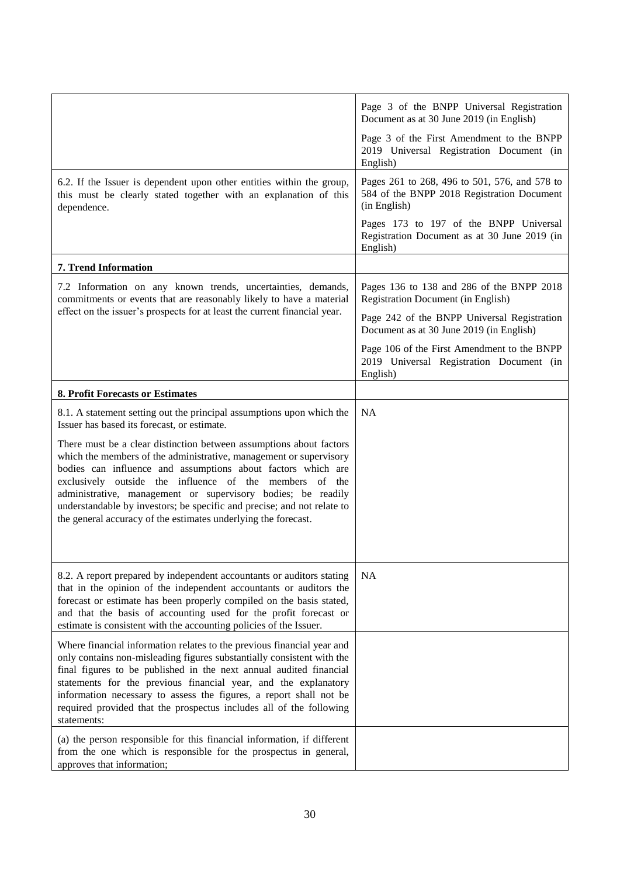|                                                                                                                                                                                                                                                                                                                                                                                                                                                                                                                                                                                                              | Page 3 of the BNPP Universal Registration<br>Document as at 30 June 2019 (in English)<br>Page 3 of the First Amendment to the BNPP<br>2019 Universal Registration Document (in<br>English) |
|--------------------------------------------------------------------------------------------------------------------------------------------------------------------------------------------------------------------------------------------------------------------------------------------------------------------------------------------------------------------------------------------------------------------------------------------------------------------------------------------------------------------------------------------------------------------------------------------------------------|--------------------------------------------------------------------------------------------------------------------------------------------------------------------------------------------|
| 6.2. If the Issuer is dependent upon other entities within the group,<br>this must be clearly stated together with an explanation of this<br>dependence.                                                                                                                                                                                                                                                                                                                                                                                                                                                     | Pages 261 to 268, 496 to 501, 576, and 578 to<br>584 of the BNPP 2018 Registration Document<br>(in English)                                                                                |
|                                                                                                                                                                                                                                                                                                                                                                                                                                                                                                                                                                                                              | Pages 173 to 197 of the BNPP Universal<br>Registration Document as at 30 June 2019 (in<br>English)                                                                                         |
| 7. Trend Information                                                                                                                                                                                                                                                                                                                                                                                                                                                                                                                                                                                         |                                                                                                                                                                                            |
| 7.2 Information on any known trends, uncertainties, demands,<br>commitments or events that are reasonably likely to have a material                                                                                                                                                                                                                                                                                                                                                                                                                                                                          | Pages 136 to 138 and 286 of the BNPP 2018<br><b>Registration Document (in English)</b>                                                                                                     |
| effect on the issuer's prospects for at least the current financial year.                                                                                                                                                                                                                                                                                                                                                                                                                                                                                                                                    | Page 242 of the BNPP Universal Registration<br>Document as at 30 June 2019 (in English)                                                                                                    |
|                                                                                                                                                                                                                                                                                                                                                                                                                                                                                                                                                                                                              | Page 106 of the First Amendment to the BNPP<br>2019 Universal Registration Document (in<br>English)                                                                                        |
| 8. Profit Forecasts or Estimates                                                                                                                                                                                                                                                                                                                                                                                                                                                                                                                                                                             |                                                                                                                                                                                            |
| 8.1. A statement setting out the principal assumptions upon which the<br>Issuer has based its forecast, or estimate.<br>There must be a clear distinction between assumptions about factors<br>which the members of the administrative, management or supervisory<br>bodies can influence and assumptions about factors which are<br>exclusively outside the influence of the members<br>of the<br>administrative, management or supervisory bodies; be readily<br>understandable by investors; be specific and precise; and not relate to<br>the general accuracy of the estimates underlying the forecast. | <b>NA</b>                                                                                                                                                                                  |
| 8.2. A report prepared by independent accountants or auditors stating<br>that in the opinion of the independent accountants or auditors the<br>forecast or estimate has been properly compiled on the basis stated,<br>and that the basis of accounting used for the profit forecast or<br>estimate is consistent with the accounting policies of the Issuer.                                                                                                                                                                                                                                                | <b>NA</b>                                                                                                                                                                                  |
| Where financial information relates to the previous financial year and<br>only contains non-misleading figures substantially consistent with the<br>final figures to be published in the next annual audited financial<br>statements for the previous financial year, and the explanatory<br>information necessary to assess the figures, a report shall not be<br>required provided that the prospectus includes all of the following<br>statements:                                                                                                                                                        |                                                                                                                                                                                            |
| (a) the person responsible for this financial information, if different<br>from the one which is responsible for the prospectus in general,<br>approves that information;                                                                                                                                                                                                                                                                                                                                                                                                                                    |                                                                                                                                                                                            |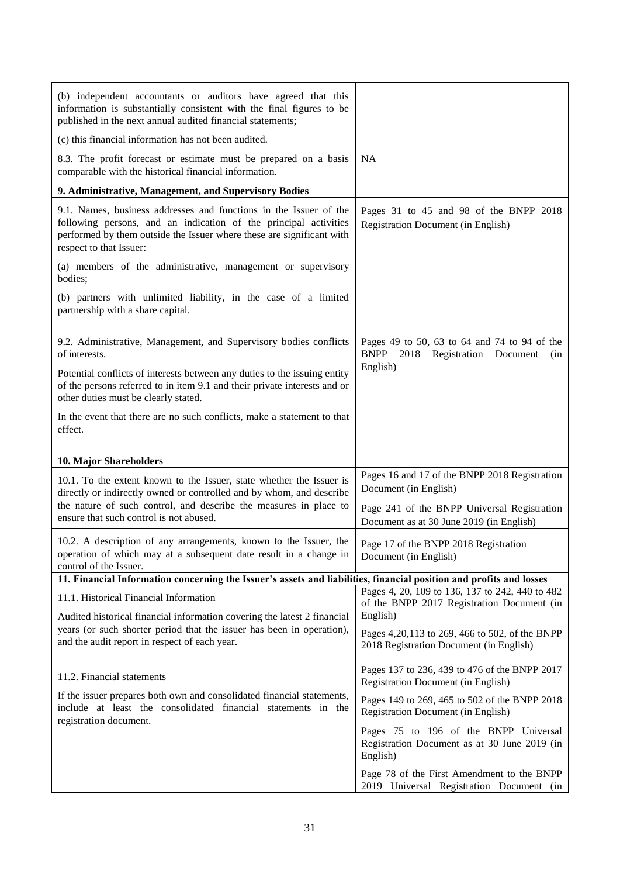| (b) independent accountants or auditors have agreed that this<br>information is substantially consistent with the final figures to be<br>published in the next annual audited financial statements;                                                          |                                                                                                                                                                   |  |
|--------------------------------------------------------------------------------------------------------------------------------------------------------------------------------------------------------------------------------------------------------------|-------------------------------------------------------------------------------------------------------------------------------------------------------------------|--|
| (c) this financial information has not been audited.                                                                                                                                                                                                         |                                                                                                                                                                   |  |
| 8.3. The profit forecast or estimate must be prepared on a basis<br>comparable with the historical financial information.                                                                                                                                    | <b>NA</b>                                                                                                                                                         |  |
| 9. Administrative, Management, and Supervisory Bodies                                                                                                                                                                                                        |                                                                                                                                                                   |  |
| 9.1. Names, business addresses and functions in the Issuer of the<br>following persons, and an indication of the principal activities<br>performed by them outside the Issuer where these are significant with<br>respect to that Issuer:                    | Pages 31 to 45 and 98 of the BNPP 2018<br><b>Registration Document (in English)</b>                                                                               |  |
| (a) members of the administrative, management or supervisory<br>bodies;                                                                                                                                                                                      |                                                                                                                                                                   |  |
| (b) partners with unlimited liability, in the case of a limited<br>partnership with a share capital.                                                                                                                                                         |                                                                                                                                                                   |  |
| 9.2. Administrative, Management, and Supervisory bodies conflicts<br>of interests.                                                                                                                                                                           | Pages 49 to 50, 63 to 64 and 74 to 94 of the<br>BNPP 2018 Registration Document<br>(in                                                                            |  |
| Potential conflicts of interests between any duties to the issuing entity<br>of the persons referred to in item 9.1 and their private interests and or<br>other duties must be clearly stated.                                                               | English)                                                                                                                                                          |  |
| In the event that there are no such conflicts, make a statement to that<br>effect.                                                                                                                                                                           |                                                                                                                                                                   |  |
| 10. Major Shareholders                                                                                                                                                                                                                                       |                                                                                                                                                                   |  |
| 10.1. To the extent known to the Issuer, state whether the Issuer is<br>directly or indirectly owned or controlled and by whom, and describe<br>the nature of such control, and describe the measures in place to<br>ensure that such control is not abused. | Pages 16 and 17 of the BNPP 2018 Registration<br>Document (in English)<br>Page 241 of the BNPP Universal Registration<br>Document as at 30 June 2019 (in English) |  |
| 10.2. A description of any arrangements, known to the Issuer, the<br>operation of which may at a subsequent date result in a change in<br>control of the Issuer.                                                                                             | Page 17 of the BNPP 2018 Registration<br>Document (in English)                                                                                                    |  |
| 11. Financial Information concerning the Issuer's assets and liabilities, financial position and profits and losses                                                                                                                                          | Pages 4, 20, 109 to 136, 137 to 242, 440 to 482                                                                                                                   |  |
| 11.1. Historical Financial Information<br>Audited historical financial information covering the latest 2 financial<br>years (or such shorter period that the issuer has been in operation),<br>and the audit report in respect of each year.                 | of the BNPP 2017 Registration Document (in<br>English)<br>Pages 4, 20, 113 to 269, 466 to 502, of the BNPP<br>2018 Registration Document (in English)             |  |
| 11.2. Financial statements                                                                                                                                                                                                                                   | Pages 137 to 236, 439 to 476 of the BNPP 2017<br><b>Registration Document (in English)</b>                                                                        |  |
| If the issuer prepares both own and consolidated financial statements,<br>include at least the consolidated financial statements in the<br>registration document.                                                                                            | Pages 149 to 269, 465 to 502 of the BNPP 2018<br>Registration Document (in English)                                                                               |  |
|                                                                                                                                                                                                                                                              | Pages 75 to 196 of the BNPP Universal<br>Registration Document as at 30 June 2019 (in<br>English)                                                                 |  |
|                                                                                                                                                                                                                                                              | Page 78 of the First Amendment to the BNPP<br>2019 Universal Registration Document (in                                                                            |  |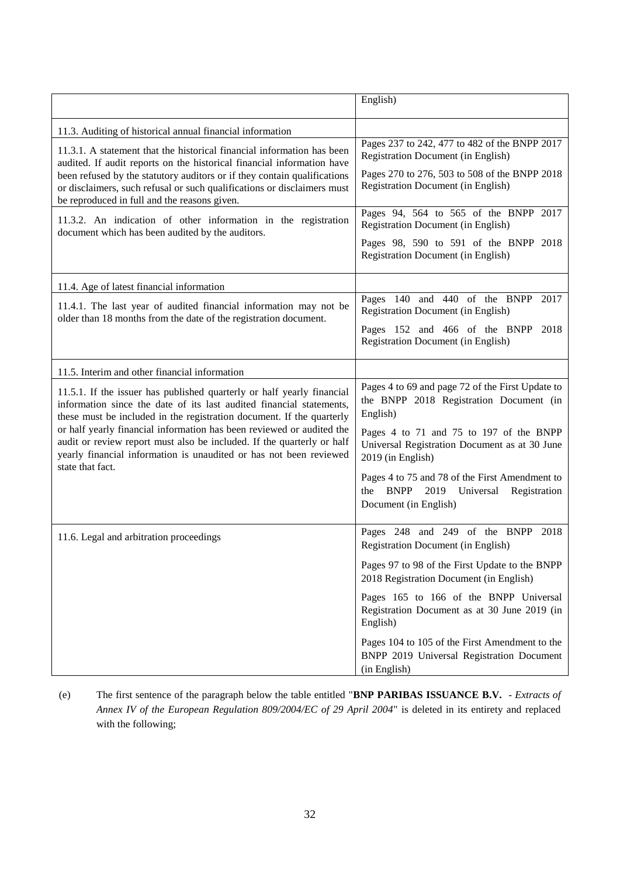|                                                                                                                                                                                                                                                                                                                                                                                                                                                                      | English)                                                                                                                           |
|----------------------------------------------------------------------------------------------------------------------------------------------------------------------------------------------------------------------------------------------------------------------------------------------------------------------------------------------------------------------------------------------------------------------------------------------------------------------|------------------------------------------------------------------------------------------------------------------------------------|
|                                                                                                                                                                                                                                                                                                                                                                                                                                                                      |                                                                                                                                    |
| 11.3. Auditing of historical annual financial information                                                                                                                                                                                                                                                                                                                                                                                                            |                                                                                                                                    |
| 11.3.1. A statement that the historical financial information has been<br>audited. If audit reports on the historical financial information have                                                                                                                                                                                                                                                                                                                     | Pages 237 to 242, 477 to 482 of the BNPP 2017<br><b>Registration Document (in English)</b>                                         |
| been refused by the statutory auditors or if they contain qualifications<br>or disclaimers, such refusal or such qualifications or disclaimers must<br>be reproduced in full and the reasons given.                                                                                                                                                                                                                                                                  | Pages 270 to 276, 503 to 508 of the BNPP 2018<br><b>Registration Document (in English)</b>                                         |
| 11.3.2. An indication of other information in the registration<br>document which has been audited by the auditors.                                                                                                                                                                                                                                                                                                                                                   | Pages 94, 564 to 565 of the BNPP 2017<br><b>Registration Document (in English)</b>                                                 |
|                                                                                                                                                                                                                                                                                                                                                                                                                                                                      | Pages 98, 590 to 591 of the BNPP 2018<br>Registration Document (in English)                                                        |
| 11.4. Age of latest financial information                                                                                                                                                                                                                                                                                                                                                                                                                            |                                                                                                                                    |
| 11.4.1. The last year of audited financial information may not be<br>older than 18 months from the date of the registration document.                                                                                                                                                                                                                                                                                                                                | Pages 140 and 440 of the BNPP 2017<br><b>Registration Document (in English)</b>                                                    |
|                                                                                                                                                                                                                                                                                                                                                                                                                                                                      | Pages 152 and 466 of the BNPP<br>2018<br><b>Registration Document (in English)</b>                                                 |
| 11.5. Interim and other financial information                                                                                                                                                                                                                                                                                                                                                                                                                        |                                                                                                                                    |
| 11.5.1. If the issuer has published quarterly or half yearly financial<br>information since the date of its last audited financial statements,<br>these must be included in the registration document. If the quarterly<br>or half yearly financial information has been reviewed or audited the<br>audit or review report must also be included. If the quarterly or half<br>yearly financial information is unaudited or has not been reviewed<br>state that fact. | Pages 4 to 69 and page 72 of the First Update to<br>the BNPP 2018 Registration Document (in<br>English)                            |
|                                                                                                                                                                                                                                                                                                                                                                                                                                                                      | Pages 4 to 71 and 75 to 197 of the BNPP<br>Universal Registration Document as at 30 June<br>2019 (in English)                      |
|                                                                                                                                                                                                                                                                                                                                                                                                                                                                      | Pages 4 to 75 and 78 of the First Amendment to<br><b>BNPP</b><br>2019<br>Universal<br>Registration<br>the<br>Document (in English) |
| 11.6. Legal and arbitration proceedings                                                                                                                                                                                                                                                                                                                                                                                                                              | Pages 248 and 249 of the BNPP 2018<br><b>Registration Document (in English)</b>                                                    |
|                                                                                                                                                                                                                                                                                                                                                                                                                                                                      | Pages 97 to 98 of the First Update to the BNPP<br>2018 Registration Document (in English)                                          |
|                                                                                                                                                                                                                                                                                                                                                                                                                                                                      | Pages 165 to 166 of the BNPP Universal<br>Registration Document as at 30 June 2019 (in<br>English)                                 |
|                                                                                                                                                                                                                                                                                                                                                                                                                                                                      | Pages 104 to 105 of the First Amendment to the<br>BNPP 2019 Universal Registration Document<br>(in English)                        |

(e) The first sentence of the paragraph below the table entitled "**BNP PARIBAS ISSUANCE B.V.** - *Extracts of Annex IV of the European Regulation 809/2004/EC of 29 April 2004*" is deleted in its entirety and replaced with the following;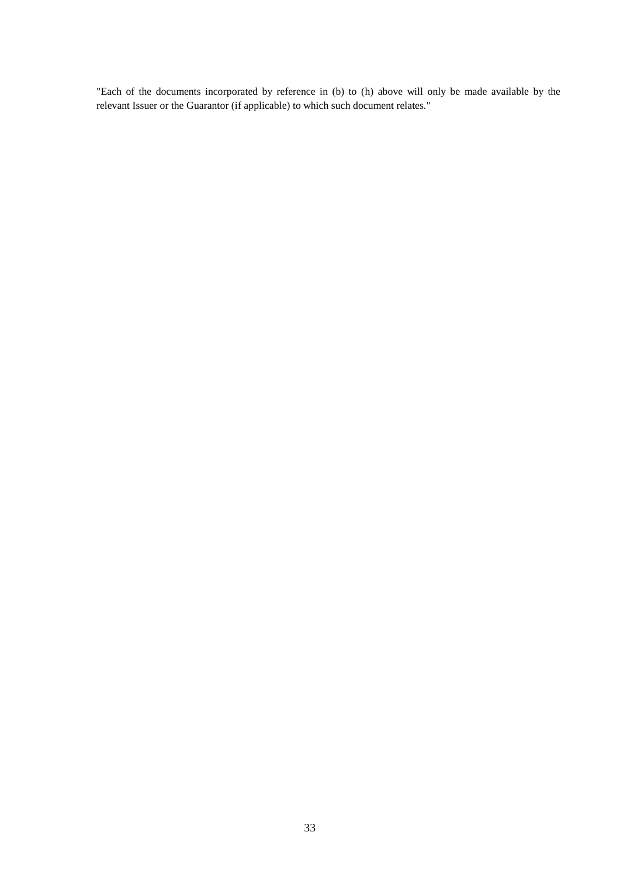"Each of the documents incorporated by reference in (b) to (h) above will only be made available by the relevant Issuer or the Guarantor (if applicable) to which such document relates."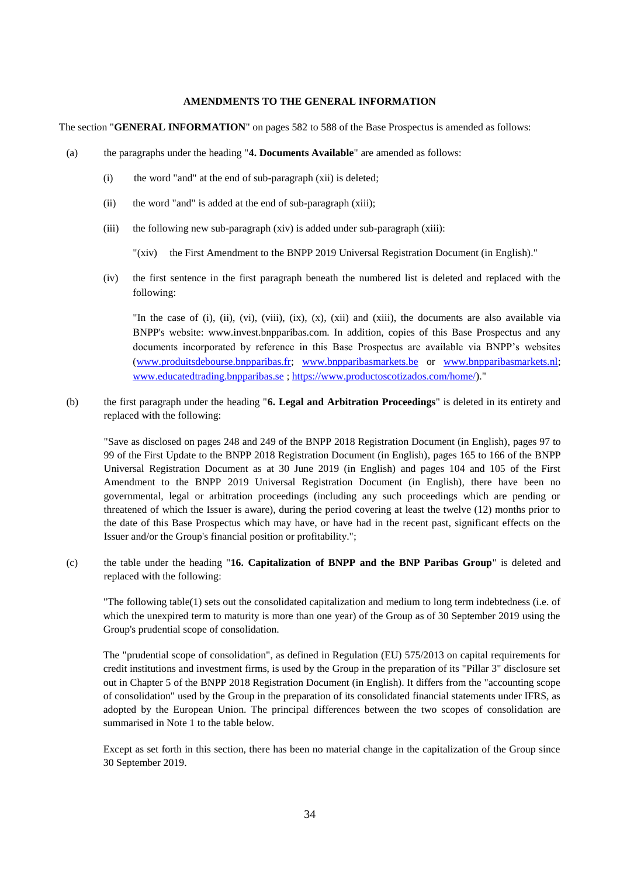#### **AMENDMENTS TO THE GENERAL INFORMATION**

The section "**GENERAL INFORMATION**" on pages 582 to 588 of the Base Prospectus is amended as follows:

- (a) the paragraphs under the heading "**4. Documents Available**" are amended as follows:
	- (i) the word "and" at the end of sub-paragraph (xii) is deleted;
	- (ii) the word "and" is added at the end of sub-paragraph (xiii);
	- (iii) the following new sub-paragraph (xiv) is added under sub-paragraph (xiii):

"(xiv) the First Amendment to the BNPP 2019 Universal Registration Document (in English)."

(iv) the first sentence in the first paragraph beneath the numbered list is deleted and replaced with the following:

"In the case of (i), (ii), (vi), (viii), (ix), (x), (xii) and (xiii), the documents are also available via BNPP's website: www.invest.bnpparibas.com. In addition, copies of this Base Prospectus and any documents incorporated by reference in this Base Prospectus are available via BNPP's websites [\(www.produitsdebourse.bnpparibas.fr;](http://www.produitsdebourse.bnpparibas.fr/) [www.bnpparibasmarkets.be](http://www.bnpparibasmarkets.be/) or [www.bnpparibasmarkets.nl;](http://www.bnpparibasmarkets.nl/) [www.educatedtrading.bnpparibas.se](http://www.educatedtrading.bnpparibas.se/) [; https://www.productoscotizados.com/home/\)](https://www.productoscotizados.com/home/)."

(b) the first paragraph under the heading "**6. Legal and Arbitration Proceedings**" is deleted in its entirety and replaced with the following:

"Save as disclosed on pages 248 and 249 of the BNPP 2018 Registration Document (in English), pages 97 to 99 of the First Update to the BNPP 2018 Registration Document (in English), pages 165 to 166 of the BNPP Universal Registration Document as at 30 June 2019 (in English) and pages 104 and 105 of the First Amendment to the BNPP 2019 Universal Registration Document (in English), there have been no governmental, legal or arbitration proceedings (including any such proceedings which are pending or threatened of which the Issuer is aware), during the period covering at least the twelve (12) months prior to the date of this Base Prospectus which may have, or have had in the recent past, significant effects on the Issuer and/or the Group's financial position or profitability.";

(c) the table under the heading "**16. Capitalization of BNPP and the BNP Paribas Group**" is deleted and replaced with the following:

"The following table(1) sets out the consolidated capitalization and medium to long term indebtedness (i.e. of which the unexpired term to maturity is more than one year) of the Group as of 30 September 2019 using the Group's prudential scope of consolidation.

The "prudential scope of consolidation", as defined in Regulation (EU) 575/2013 on capital requirements for credit institutions and investment firms, is used by the Group in the preparation of its "Pillar 3" disclosure set out in Chapter 5 of the BNPP 2018 Registration Document (in English). It differs from the "accounting scope of consolidation" used by the Group in the preparation of its consolidated financial statements under IFRS, as adopted by the European Union. The principal differences between the two scopes of consolidation are summarised in Note 1 to the table below.

Except as set forth in this section, there has been no material change in the capitalization of the Group since 30 September 2019.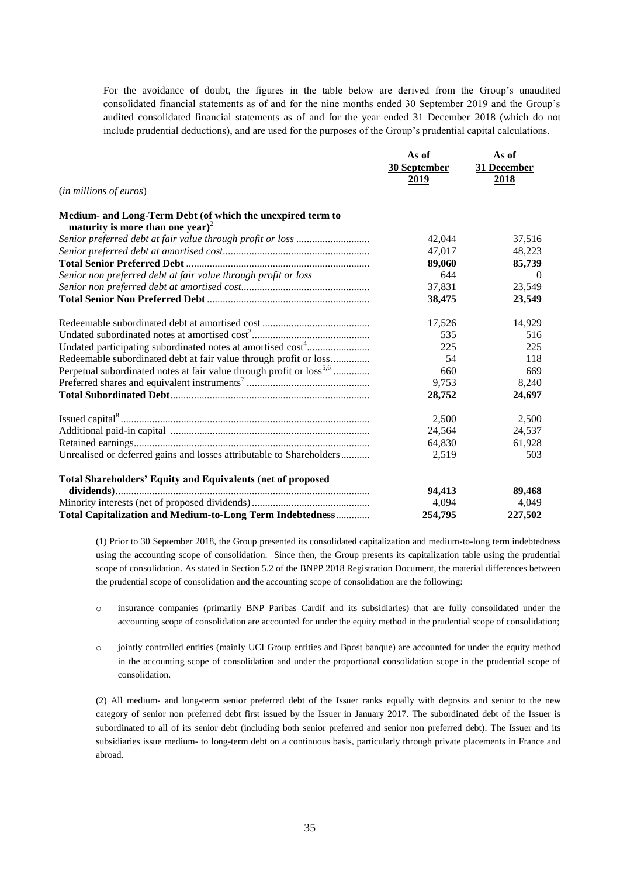For the avoidance of doubt, the figures in the table below are derived from the Group's unaudited consolidated financial statements as of and for the nine months ended 30 September 2019 and the Group's audited consolidated financial statements as of and for the year ended 31 December 2018 (which do not include prudential deductions), and are used for the purposes of the Group's prudential capital calculations.

|                                                                                  | As of        | As of       |
|----------------------------------------------------------------------------------|--------------|-------------|
|                                                                                  | 30 September | 31 December |
|                                                                                  | 2019         | 2018        |
| (in millions of euros)                                                           |              |             |
| Medium- and Long-Term Debt (of which the unexpired term to                       |              |             |
| maturity is more than one year) <sup>2</sup>                                     |              |             |
| Senior preferred debt at fair value through profit or loss                       | 42,044       | 37,516      |
|                                                                                  | 47,017       | 48,223      |
|                                                                                  | 89,060       | 85,739      |
| Senior non preferred debt at fair value through profit or loss                   | 644          | $\theta$    |
|                                                                                  | 37,831       | 23,549      |
|                                                                                  | 38,475       | 23,549      |
|                                                                                  | 17,526       | 14,929      |
|                                                                                  | 535          | 516         |
| Undated participating subordinated notes at amortised cost <sup>4</sup>          | 225          | 225         |
| Redeemable subordinated debt at fair value through profit or loss                | 54           | 118         |
| Perpetual subordinated notes at fair value through profit or loss <sup>5,6</sup> | 660          | 669         |
|                                                                                  | 9,753        | 8,240       |
|                                                                                  | 28,752       | 24,697      |
|                                                                                  | 2,500        | 2,500       |
|                                                                                  | 24,564       | 24,537      |
|                                                                                  | 64,830       | 61,928      |
| Unrealised or deferred gains and losses attributable to Shareholders             | 2,519        | 503         |
| <b>Total Shareholders' Equity and Equivalents (net of proposed</b>               |              |             |
|                                                                                  | 94,413       | 89,468      |
|                                                                                  | 4,094        | 4,049       |
| Total Capitalization and Medium-to-Long Term Indebtedness                        | 254,795      | 227,502     |

(1) Prior to 30 September 2018, the Group presented its consolidated capitalization and medium-to-long term indebtedness using the accounting scope of consolidation. Since then, the Group presents its capitalization table using the prudential scope of consolidation. As stated in Section 5.2 of the BNPP 2018 Registration Document, the material differences between the prudential scope of consolidation and the accounting scope of consolidation are the following:

- o insurance companies (primarily BNP Paribas Cardif and its subsidiaries) that are fully consolidated under the accounting scope of consolidation are accounted for under the equity method in the prudential scope of consolidation;
- o jointly controlled entities (mainly UCI Group entities and Bpost banque) are accounted for under the equity method in the accounting scope of consolidation and under the proportional consolidation scope in the prudential scope of consolidation.

(2) All medium- and long-term senior preferred debt of the Issuer ranks equally with deposits and senior to the new category of senior non preferred debt first issued by the Issuer in January 2017. The subordinated debt of the Issuer is subordinated to all of its senior debt (including both senior preferred and senior non preferred debt). The Issuer and its subsidiaries issue medium- to long-term debt on a continuous basis, particularly through private placements in France and abroad.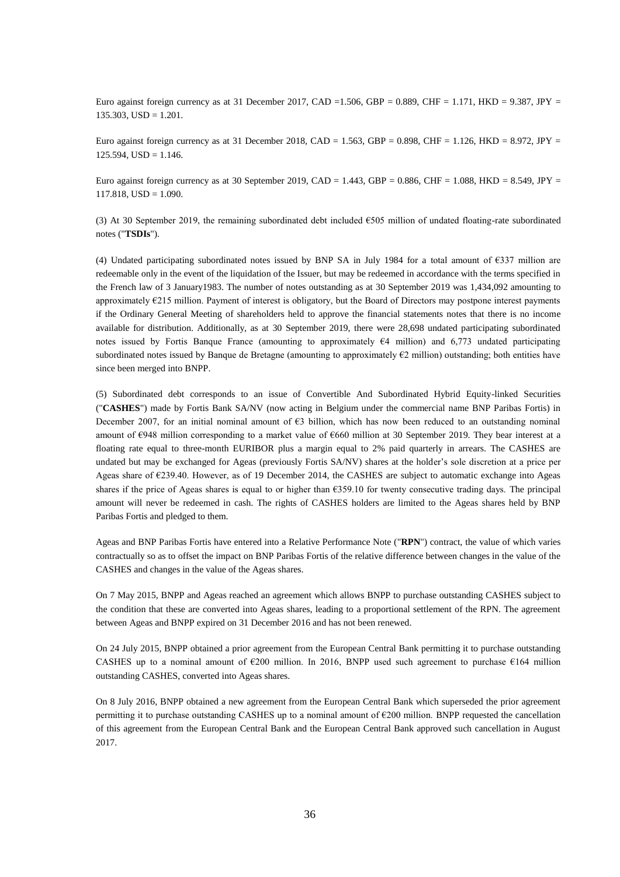Euro against foreign currency as at 31 December 2017, CAD =1.506, GBP = 0.889, CHF = 1.171, HKD = 9.387, JPY =  $135.303$ ,  $USD = 1.201$ .

Euro against foreign currency as at 31 December 2018, CAD = 1.563, GBP = 0.898, CHF = 1.126, HKD = 8.972, JPY =  $125.594$ , USD = 1.146.

Euro against foreign currency as at 30 September 2019, CAD = 1.443, GBP = 0.886, CHF = 1.088, HKD = 8.549, JPY =  $117.818$ ,  $USD = 1.090$ .

(3) At 30 September 2019, the remaining subordinated debt included €505 million of undated floating-rate subordinated notes ("**TSDIs**").

(4) Undated participating subordinated notes issued by BNP SA in July 1984 for a total amount of €337 million are redeemable only in the event of the liquidation of the Issuer, but may be redeemed in accordance with the terms specified in the French law of 3 January1983. The number of notes outstanding as at 30 September 2019 was 1,434,092 amounting to approximately €215 million. Payment of interest is obligatory, but the Board of Directors may postpone interest payments if the Ordinary General Meeting of shareholders held to approve the financial statements notes that there is no income available for distribution. Additionally, as at 30 September 2019, there were 28,698 undated participating subordinated notes issued by Fortis Banque France (amounting to approximately €4 million) and 6,773 undated participating subordinated notes issued by Banque de Bretagne (amounting to approximately  $\epsilon_2$  million) outstanding; both entities have since been merged into BNPP.

(5) Subordinated debt corresponds to an issue of Convertible And Subordinated Hybrid Equity-linked Securities ("**CASHES**") made by Fortis Bank SA/NV (now acting in Belgium under the commercial name BNP Paribas Fortis) in December 2007, for an initial nominal amount of €3 billion, which has now been reduced to an outstanding nominal amount of €948 million corresponding to a market value of €660 million at 30 September 2019. They bear interest at a floating rate equal to three-month EURIBOR plus a margin equal to 2% paid quarterly in arrears. The CASHES are undated but may be exchanged for Ageas (previously Fortis SA/NV) shares at the holder's sole discretion at a price per Ageas share of €239.40. However, as of 19 December 2014, the CASHES are subject to automatic exchange into Ageas shares if the price of Ageas shares is equal to or higher than  $\epsilon$ 359.10 for twenty consecutive trading days. The principal amount will never be redeemed in cash. The rights of CASHES holders are limited to the Ageas shares held by BNP Paribas Fortis and pledged to them.

Ageas and BNP Paribas Fortis have entered into a Relative Performance Note ("**RPN**") contract, the value of which varies contractually so as to offset the impact on BNP Paribas Fortis of the relative difference between changes in the value of the CASHES and changes in the value of the Ageas shares.

On 7 May 2015, BNPP and Ageas reached an agreement which allows BNPP to purchase outstanding CASHES subject to the condition that these are converted into Ageas shares, leading to a proportional settlement of the RPN. The agreement between Ageas and BNPP expired on 31 December 2016 and has not been renewed.

On 24 July 2015, BNPP obtained a prior agreement from the European Central Bank permitting it to purchase outstanding CASHES up to a nominal amount of  $\epsilon$ 200 million. In 2016, BNPP used such agreement to purchase  $\epsilon$ 164 million outstanding CASHES, converted into Ageas shares.

On 8 July 2016, BNPP obtained a new agreement from the European Central Bank which superseded the prior agreement permitting it to purchase outstanding CASHES up to a nominal amount of  $\epsilon$ 200 million. BNPP requested the cancellation of this agreement from the European Central Bank and the European Central Bank approved such cancellation in August 2017.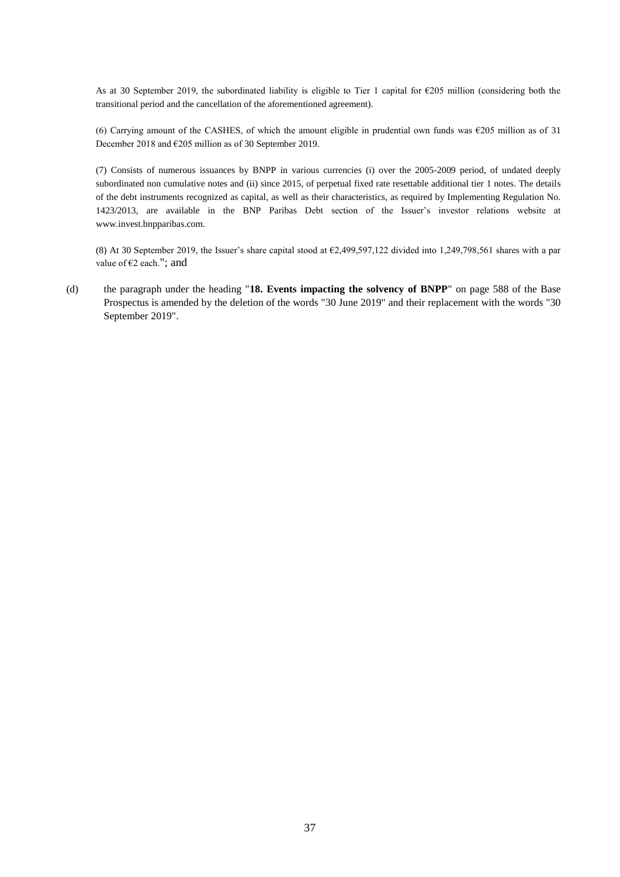As at 30 September 2019, the subordinated liability is eligible to Tier 1 capital for  $\epsilon$ 205 million (considering both the transitional period and the cancellation of the aforementioned agreement).

(6) Carrying amount of the CASHES, of which the amount eligible in prudential own funds was €205 million as of 31 December 2018 and €205 million as of 30 September 2019.

(7) Consists of numerous issuances by BNPP in various currencies (i) over the 2005-2009 period, of undated deeply subordinated non cumulative notes and (ii) since 2015, of perpetual fixed rate resettable additional tier 1 notes. The details of the debt instruments recognized as capital, as well as their characteristics, as required by Implementing Regulation No. 1423/2013, are available in the BNP Paribas Debt section of the Issuer's investor relations website at www.invest.bnpparibas.com.

(8) At 30 September 2019, the Issuer's share capital stood at  $\epsilon$ 2,499,597,122 divided into 1,249,798,561 shares with a par value of €2 each."; and

(d) the paragraph under the heading "**18. Events impacting the solvency of BNPP**" on page 588 of the Base Prospectus is amended by the deletion of the words "30 June 2019" and their replacement with the words "30 September 2019".